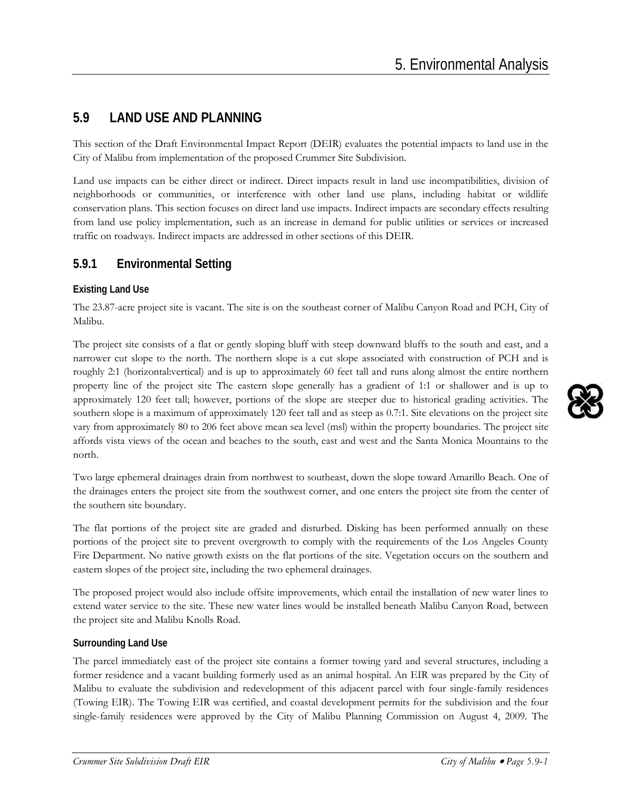## **5.9 LAND USE AND PLANNING**

This section of the Draft Environmental Impact Report (DEIR) evaluates the potential impacts to land use in the City of Malibu from implementation of the proposed Crummer Site Subdivision.

Land use impacts can be either direct or indirect. Direct impacts result in land use incompatibilities, division of neighborhoods or communities, or interference with other land use plans, including habitat or wildlife conservation plans. This section focuses on direct land use impacts. Indirect impacts are secondary effects resulting from land use policy implementation, such as an increase in demand for public utilities or services or increased traffic on roadways. Indirect impacts are addressed in other sections of this DEIR.

## **5.9.1 Environmental Setting**

#### **Existing Land Use**

The 23.87-acre project site is vacant. The site is on the southeast corner of Malibu Canyon Road and PCH, City of Malibu.

The project site consists of a flat or gently sloping bluff with steep downward bluffs to the south and east, and a narrower cut slope to the north. The northern slope is a cut slope associated with construction of PCH and is roughly 2:1 (horizontal:vertical) and is up to approximately 60 feet tall and runs along almost the entire northern property line of the project site The eastern slope generally has a gradient of 1:1 or shallower and is up to approximately 120 feet tall; however, portions of the slope are steeper due to historical grading activities. The southern slope is a maximum of approximately 120 feet tall and as steep as 0.7:1. Site elevations on the project site vary from approximately 80 to 206 feet above mean sea level (msl) within the property boundaries. The project site affords vista views of the ocean and beaches to the south, east and west and the Santa Monica Mountains to the north.

Two large ephemeral drainages drain from northwest to southeast, down the slope toward Amarillo Beach. One of the drainages enters the project site from the southwest corner, and one enters the project site from the center of the southern site boundary.

The flat portions of the project site are graded and disturbed. Disking has been performed annually on these portions of the project site to prevent overgrowth to comply with the requirements of the Los Angeles County Fire Department. No native growth exists on the flat portions of the site. Vegetation occurs on the southern and eastern slopes of the project site, including the two ephemeral drainages.

The proposed project would also include offsite improvements, which entail the installation of new water lines to extend water service to the site. These new water lines would be installed beneath Malibu Canyon Road, between the project site and Malibu Knolls Road.

#### **Surrounding Land Use**

The parcel immediately east of the project site contains a former towing yard and several structures, including a former residence and a vacant building formerly used as an animal hospital. An EIR was prepared by the City of Malibu to evaluate the subdivision and redevelopment of this adjacent parcel with four single-family residences (Towing EIR). The Towing EIR was certified, and coastal development permits for the subdivision and the four single-family residences were approved by the City of Malibu Planning Commission on August 4, 2009. The

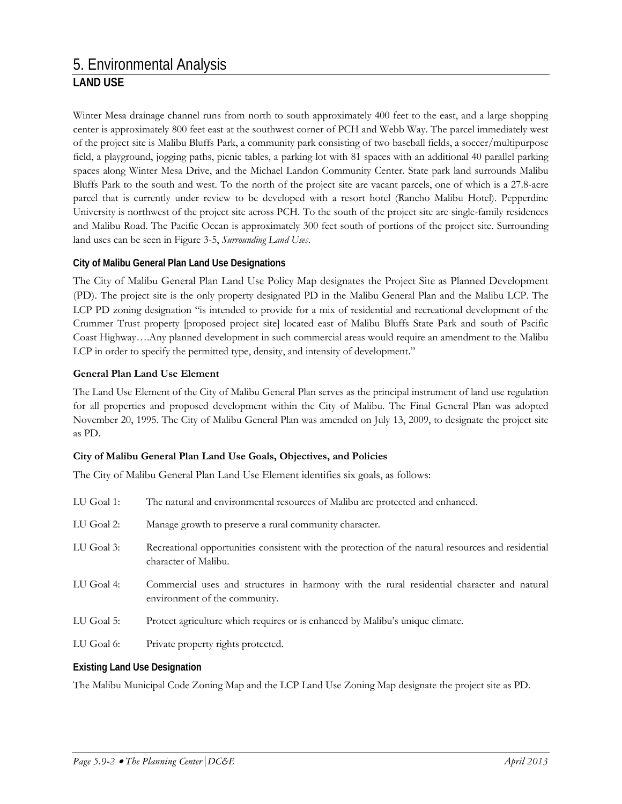Winter Mesa drainage channel runs from north to south approximately 400 feet to the east, and a large shopping center is approximately 800 feet east at the southwest corner of PCH and Webb Way. The parcel immediately west of the project site is Malibu Bluffs Park, a community park consisting of two baseball fields, a soccer/multipurpose field, a playground, jogging paths, picnic tables, a parking lot with 81 spaces with an additional 40 parallel parking spaces along Winter Mesa Drive, and the Michael Landon Community Center. State park land surrounds Malibu Bluffs Park to the south and west. To the north of the project site are vacant parcels, one of which is a 27.8-acre parcel that is currently under review to be developed with a resort hotel (Rancho Malibu Hotel). Pepperdine University is northwest of the project site across PCH. To the south of the project site are single-family residences and Malibu Road. The Pacific Ocean is approximately 300 feet south of portions of the project site. Surrounding land uses can be seen in Figure 3-5, *Surrounding Land Uses*.

#### **City of Malibu General Plan Land Use Designations**

The City of Malibu General Plan Land Use Policy Map designates the Project Site as Planned Development (PD). The project site is the only property designated PD in the Malibu General Plan and the Malibu LCP. The LCP PD zoning designation "is intended to provide for a mix of residential and recreational development of the Crummer Trust property [proposed project site] located east of Malibu Bluffs State Park and south of Pacific Coast Highway….Any planned development in such commercial areas would require an amendment to the Malibu LCP in order to specify the permitted type, density, and intensity of development."

#### **General Plan Land Use Element**

The Land Use Element of the City of Malibu General Plan serves as the principal instrument of land use regulation for all properties and proposed development within the City of Malibu. The Final General Plan was adopted November 20, 1995. The City of Malibu General Plan was amended on July 13, 2009, to designate the project site as PD.

#### **City of Malibu General Plan Land Use Goals, Objectives, and Policies**

The City of Malibu General Plan Land Use Element identifies six goals, as follows:

| LU Goal 1: | The natural and environmental resources of Malibu are protected and enhanced.                                               |
|------------|-----------------------------------------------------------------------------------------------------------------------------|
| LU Goal 2: | Manage growth to preserve a rural community character.                                                                      |
| LU Goal 3: | Recreational opportunities consistent with the protection of the natural resources and residential<br>character of Malibu.  |
| LU Goal 4: | Commercial uses and structures in harmony with the rural residential character and natural<br>environment of the community. |
| LU Goal 5: | Protect agriculture which requires or is enhanced by Malibu's unique climate.                                               |
| LU Goal 6: | Private property rights protected.                                                                                          |

#### **Existing Land Use Designation**

The Malibu Municipal Code Zoning Map and the LCP Land Use Zoning Map designate the project site as PD.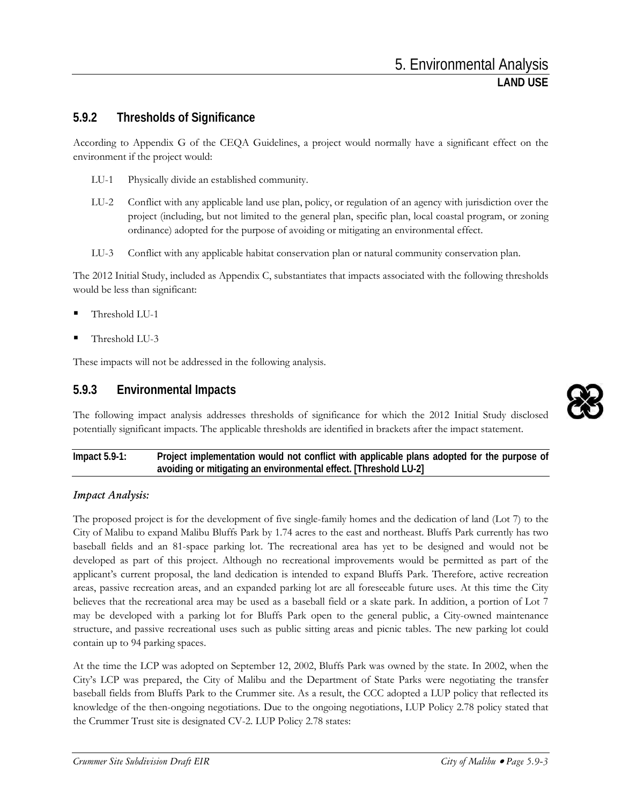### **5.9.2 Thresholds of Significance**

According to Appendix G of the CEQA Guidelines, a project would normally have a significant effect on the environment if the project would:

- LU-1 Physically divide an established community.
- LU-2 Conflict with any applicable land use plan, policy, or regulation of an agency with jurisdiction over the project (including, but not limited to the general plan, specific plan, local coastal program, or zoning ordinance) adopted for the purpose of avoiding or mitigating an environmental effect.
- LU-3 Conflict with any applicable habitat conservation plan or natural community conservation plan.

The 2012 Initial Study, included as Appendix C, substantiates that impacts associated with the following thresholds would be less than significant:

- Threshold LU-1
- Threshold LU-3

These impacts will not be addressed in the following analysis.

### **5.9.3 Environmental Impacts**

The following impact analysis addresses thresholds of significance for which the 2012 Initial Study disclosed potentially significant impacts. The applicable thresholds are identified in brackets after the impact statement.

#### **Impact 5.9-1: Project implementation would not conflict with applicable plans adopted for the purpose of avoiding or mitigating an environmental effect. [Threshold LU-2]**

#### *Impact Analysis:*

The proposed project is for the development of five single-family homes and the dedication of land (Lot 7) to the City of Malibu to expand Malibu Bluffs Park by 1.74 acres to the east and northeast. Bluffs Park currently has two baseball fields and an 81-space parking lot. The recreational area has yet to be designed and would not be developed as part of this project. Although no recreational improvements would be permitted as part of the applicant's current proposal, the land dedication is intended to expand Bluffs Park. Therefore, active recreation areas, passive recreation areas, and an expanded parking lot are all foreseeable future uses. At this time the City believes that the recreational area may be used as a baseball field or a skate park. In addition, a portion of Lot 7 may be developed with a parking lot for Bluffs Park open to the general public, a City-owned maintenance structure, and passive recreational uses such as public sitting areas and picnic tables. The new parking lot could contain up to 94 parking spaces.

At the time the LCP was adopted on September 12, 2002, Bluffs Park was owned by the state. In 2002, when the City's LCP was prepared, the City of Malibu and the Department of State Parks were negotiating the transfer baseball fields from Bluffs Park to the Crummer site. As a result, the CCC adopted a LUP policy that reflected its knowledge of the then-ongoing negotiations. Due to the ongoing negotiations, LUP Policy 2.78 policy stated that the Crummer Trust site is designated CV-2. LUP Policy 2.78 states:

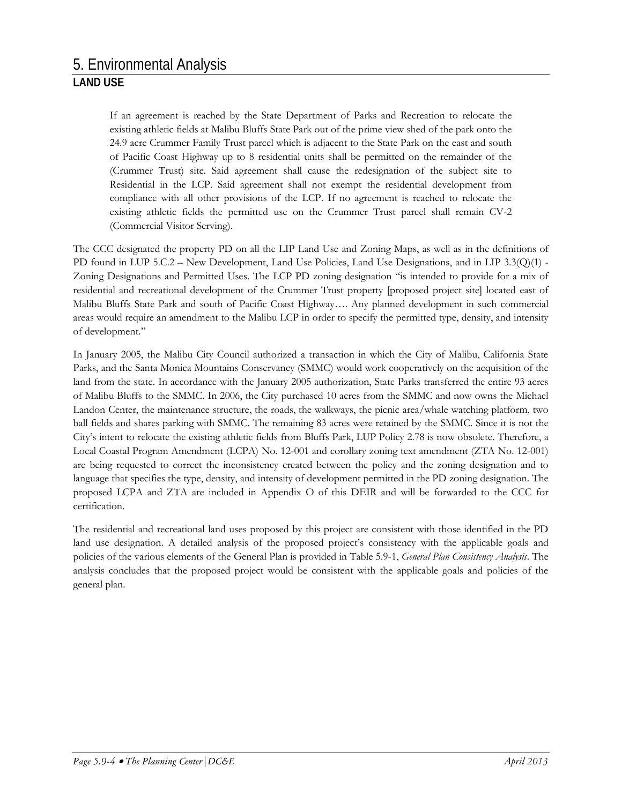If an agreement is reached by the State Department of Parks and Recreation to relocate the existing athletic fields at Malibu Bluffs State Park out of the prime view shed of the park onto the 24.9 acre Crummer Family Trust parcel which is adjacent to the State Park on the east and south of Pacific Coast Highway up to 8 residential units shall be permitted on the remainder of the (Crummer Trust) site. Said agreement shall cause the redesignation of the subject site to Residential in the LCP. Said agreement shall not exempt the residential development from compliance with all other provisions of the LCP. If no agreement is reached to relocate the existing athletic fields the permitted use on the Crummer Trust parcel shall remain CV-2 (Commercial Visitor Serving).

The CCC designated the property PD on all the LIP Land Use and Zoning Maps, as well as in the definitions of PD found in LUP 5.C.2 – New Development, Land Use Policies, Land Use Designations, and in LIP 3.3(Q)(1) - Zoning Designations and Permitted Uses. The LCP PD zoning designation "is intended to provide for a mix of residential and recreational development of the Crummer Trust property [proposed project site] located east of Malibu Bluffs State Park and south of Pacific Coast Highway…. Any planned development in such commercial areas would require an amendment to the Malibu LCP in order to specify the permitted type, density, and intensity of development."

In January 2005, the Malibu City Council authorized a transaction in which the City of Malibu, California State Parks, and the Santa Monica Mountains Conservancy (SMMC) would work cooperatively on the acquisition of the land from the state. In accordance with the January 2005 authorization, State Parks transferred the entire 93 acres of Malibu Bluffs to the SMMC. In 2006, the City purchased 10 acres from the SMMC and now owns the Michael Landon Center, the maintenance structure, the roads, the walkways, the picnic area/whale watching platform, two ball fields and shares parking with SMMC. The remaining 83 acres were retained by the SMMC. Since it is not the City's intent to relocate the existing athletic fields from Bluffs Park, LUP Policy 2.78 is now obsolete. Therefore, a Local Coastal Program Amendment (LCPA) No. 12-001 and corollary zoning text amendment (ZTA No. 12-001) are being requested to correct the inconsistency created between the policy and the zoning designation and to language that specifies the type, density, and intensity of development permitted in the PD zoning designation. The proposed LCPA and ZTA are included in Appendix O of this DEIR and will be forwarded to the CCC for certification.

The residential and recreational land uses proposed by this project are consistent with those identified in the PD land use designation. A detailed analysis of the proposed project's consistency with the applicable goals and policies of the various elements of the General Plan is provided in Table 5.9-1, *General Plan Consistency Analysis*. The analysis concludes that the proposed project would be consistent with the applicable goals and policies of the general plan.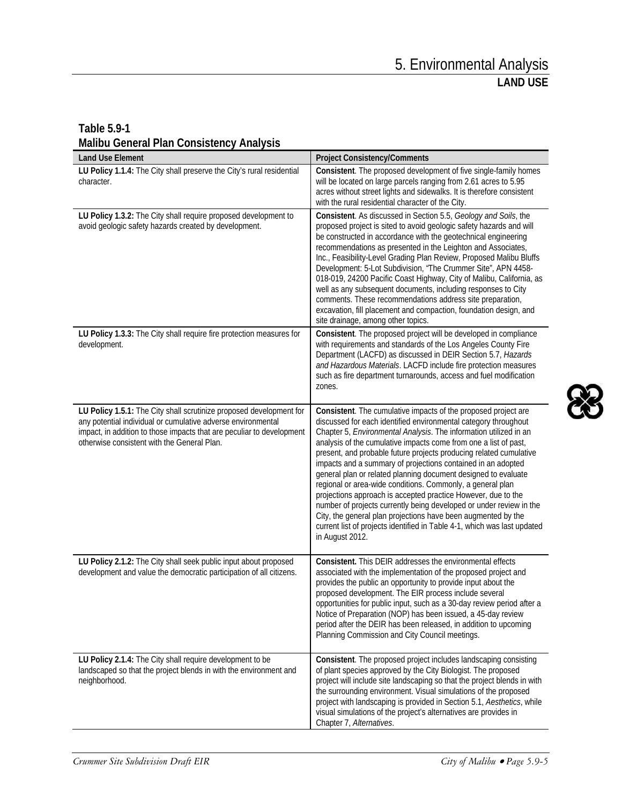## **Table 5.9-1 Malibu General Plan Consistency Analysis**

| <b>Land Use Element</b>                                                                                                                                                                                                                                     | <b>Project Consistency/Comments</b>                                                                                                                                                                                                                                                                                                                                                                                                                                                                                                                                                                                                                                                                                                                                                                                                                      |
|-------------------------------------------------------------------------------------------------------------------------------------------------------------------------------------------------------------------------------------------------------------|----------------------------------------------------------------------------------------------------------------------------------------------------------------------------------------------------------------------------------------------------------------------------------------------------------------------------------------------------------------------------------------------------------------------------------------------------------------------------------------------------------------------------------------------------------------------------------------------------------------------------------------------------------------------------------------------------------------------------------------------------------------------------------------------------------------------------------------------------------|
| LU Policy 1.1.4: The City shall preserve the City's rural residential<br>character.                                                                                                                                                                         | Consistent. The proposed development of five single-family homes<br>will be located on large parcels ranging from 2.61 acres to 5.95<br>acres without street lights and sidewalks. It is therefore consistent<br>with the rural residential character of the City.                                                                                                                                                                                                                                                                                                                                                                                                                                                                                                                                                                                       |
| LU Policy 1.3.2: The City shall require proposed development to<br>avoid geologic safety hazards created by development.                                                                                                                                    | Consistent. As discussed in Section 5.5, Geology and Soils, the<br>proposed project is sited to avoid geologic safety hazards and will<br>be constructed in accordance with the geotechnical engineering<br>recommendations as presented in the Leighton and Associates,<br>Inc., Feasibility-Level Grading Plan Review, Proposed Malibu Bluffs<br>Development: 5-Lot Subdivision, "The Crummer Site", APN 4458-<br>018-019, 24200 Pacific Coast Highway, City of Malibu, California, as<br>well as any subsequent documents, including responses to City<br>comments. These recommendations address site preparation,<br>excavation, fill placement and compaction, foundation design, and<br>site drainage, among other topics.                                                                                                                        |
| LU Policy 1.3.3: The City shall require fire protection measures for<br>development.                                                                                                                                                                        | Consistent. The proposed project will be developed in compliance<br>with requirements and standards of the Los Angeles County Fire<br>Department (LACFD) as discussed in DEIR Section 5.7, Hazards<br>and Hazardous Materials. LACFD include fire protection measures<br>such as fire department turnarounds, access and fuel modification<br>zones.                                                                                                                                                                                                                                                                                                                                                                                                                                                                                                     |
| LU Policy 1.5.1: The City shall scrutinize proposed development for<br>any potential individual or cumulative adverse environmental<br>impact, in addition to those impacts that are peculiar to development<br>otherwise consistent with the General Plan. | Consistent. The cumulative impacts of the proposed project are<br>discussed for each identified environmental category throughout<br>Chapter 5, Environmental Analysis. The information utilized in an<br>analysis of the cumulative impacts come from one a list of past,<br>present, and probable future projects producing related cumulative<br>impacts and a summary of projections contained in an adopted<br>general plan or related planning document designed to evaluate<br>regional or area-wide conditions. Commonly, a general plan<br>projections approach is accepted practice However, due to the<br>number of projects currently being developed or under review in the<br>City, the general plan projections have been augmented by the<br>current list of projects identified in Table 4-1, which was last updated<br>in August 2012. |
| LU Policy 2.1.2: The City shall seek public input about proposed<br>development and value the democratic participation of all citizens.                                                                                                                     | Consistent. This DEIR addresses the environmental effects<br>associated with the implementation of the proposed project and<br>provides the public an opportunity to provide input about the<br>proposed development. The EIR process include several<br>opportunities for public input, such as a 30-day review period after a<br>Notice of Preparation (NOP) has been issued, a 45-day review<br>period after the DEIR has been released, in addition to upcoming<br>Planning Commission and City Council meetings.                                                                                                                                                                                                                                                                                                                                    |
| LU Policy 2.1.4: The City shall require development to be<br>landscaped so that the project blends in with the environment and<br>neighborhood.                                                                                                             | Consistent. The proposed project includes landscaping consisting<br>of plant species approved by the City Biologist. The proposed<br>project will include site landscaping so that the project blends in with<br>the surrounding environment. Visual simulations of the proposed<br>project with landscaping is provided in Section 5.1, Aesthetics, while<br>visual simulations of the project's alternatives are provides in<br>Chapter 7, Alternatives.                                                                                                                                                                                                                                                                                                                                                                                               |

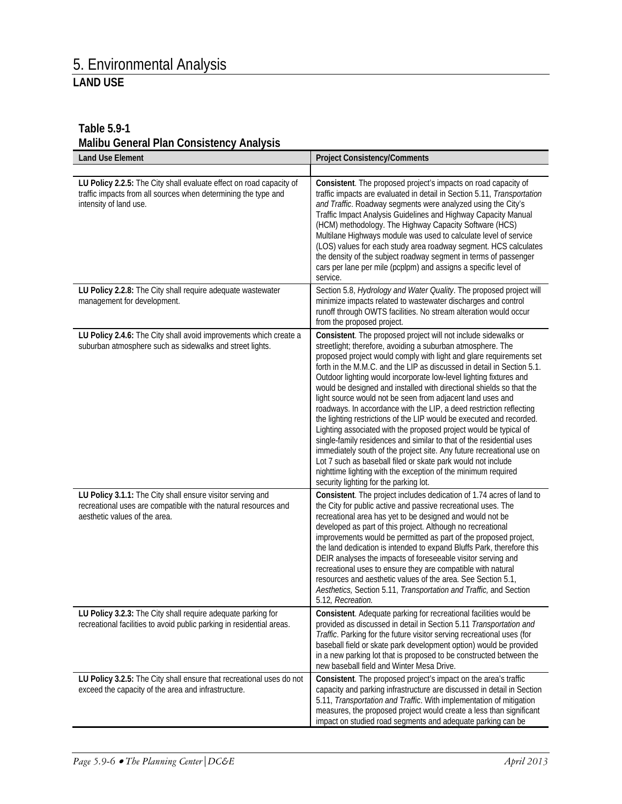### **Table 5.9-1 Malibu General Plan Consistency Analysis**

| <b>Land Use Element</b>                                                                                                                                         | <b>Project Consistency/Comments</b>                                                                                                                                                                                                                                                                                                                                                                                                                                                                                                                                                                                                                                                                                                                                                                                                                                                                                                                                                                                                        |
|-----------------------------------------------------------------------------------------------------------------------------------------------------------------|--------------------------------------------------------------------------------------------------------------------------------------------------------------------------------------------------------------------------------------------------------------------------------------------------------------------------------------------------------------------------------------------------------------------------------------------------------------------------------------------------------------------------------------------------------------------------------------------------------------------------------------------------------------------------------------------------------------------------------------------------------------------------------------------------------------------------------------------------------------------------------------------------------------------------------------------------------------------------------------------------------------------------------------------|
|                                                                                                                                                                 |                                                                                                                                                                                                                                                                                                                                                                                                                                                                                                                                                                                                                                                                                                                                                                                                                                                                                                                                                                                                                                            |
| LU Policy 2.2.5: The City shall evaluate effect on road capacity of<br>traffic impacts from all sources when determining the type and<br>intensity of land use. | Consistent. The proposed project's impacts on road capacity of<br>traffic impacts are evaluated in detail in Section 5.11, Transportation<br>and Traffic. Roadway segments were analyzed using the City's<br>Traffic Impact Analysis Guidelines and Highway Capacity Manual<br>(HCM) methodology. The Highway Capacity Software (HCS)<br>Multilane Highways module was used to calculate level of service<br>(LOS) values for each study area roadway segment. HCS calculates<br>the density of the subject roadway segment in terms of passenger<br>cars per lane per mile (pcplpm) and assigns a specific level of<br>service.                                                                                                                                                                                                                                                                                                                                                                                                           |
| LU Policy 2.2.8: The City shall require adequate wastewater<br>management for development.                                                                      | Section 5.8, Hydrology and Water Quality. The proposed project will<br>minimize impacts related to wastewater discharges and control<br>runoff through OWTS facilities. No stream alteration would occur<br>from the proposed project.                                                                                                                                                                                                                                                                                                                                                                                                                                                                                                                                                                                                                                                                                                                                                                                                     |
| LU Policy 2.4.6: The City shall avoid improvements which create a<br>suburban atmosphere such as sidewalks and street lights.                                   | Consistent. The proposed project will not include sidewalks or<br>streetlight; therefore, avoiding a suburban atmosphere. The<br>proposed project would comply with light and glare requirements set<br>forth in the M.M.C. and the LIP as discussed in detail in Section 5.1.<br>Outdoor lighting would incorporate low-level lighting fixtures and<br>would be designed and installed with directional shields so that the<br>light source would not be seen from adjacent land uses and<br>roadways. In accordance with the LIP, a deed restriction reflecting<br>the lighting restrictions of the LIP would be executed and recorded.<br>Lighting associated with the proposed project would be typical of<br>single-family residences and similar to that of the residential uses<br>immediately south of the project site. Any future recreational use on<br>Lot 7 such as baseball filed or skate park would not include<br>nighttime lighting with the exception of the minimum required<br>security lighting for the parking lot. |
| LU Policy 3.1.1: The City shall ensure visitor serving and<br>recreational uses are compatible with the natural resources and<br>aesthetic values of the area.  | Consistent. The project includes dedication of 1.74 acres of land to<br>the City for public active and passive recreational uses. The<br>recreational area has yet to be designed and would not be<br>developed as part of this project. Although no recreational<br>improvements would be permitted as part of the proposed project,<br>the land dedication is intended to expand Bluffs Park, therefore this<br>DEIR analyses the impacts of foreseeable visitor serving and<br>recreational uses to ensure they are compatible with natural<br>resources and aesthetic values of the area. See Section 5.1,<br>Aesthetics, Section 5.11, Transportation and Traffic, and Section<br>5.12, Recreation.                                                                                                                                                                                                                                                                                                                                   |
| LU Policy 3.2.3: The City shall require adequate parking for<br>recreational facilities to avoid public parking in residential areas.                           | Consistent. Adequate parking for recreational facilities would be<br>provided as discussed in detail in Section 5.11 Transportation and<br>Traffic. Parking for the future visitor serving recreational uses (for<br>baseball field or skate park development option) would be provided<br>in a new parking lot that is proposed to be constructed between the<br>new baseball field and Winter Mesa Drive.                                                                                                                                                                                                                                                                                                                                                                                                                                                                                                                                                                                                                                |
| LU Policy 3.2.5: The City shall ensure that recreational uses do not<br>exceed the capacity of the area and infrastructure.                                     | Consistent. The proposed project's impact on the area's traffic<br>capacity and parking infrastructure are discussed in detail in Section<br>5.11, Transportation and Traffic. With implementation of mitigation<br>measures, the proposed project would create a less than significant<br>impact on studied road segments and adequate parking can be                                                                                                                                                                                                                                                                                                                                                                                                                                                                                                                                                                                                                                                                                     |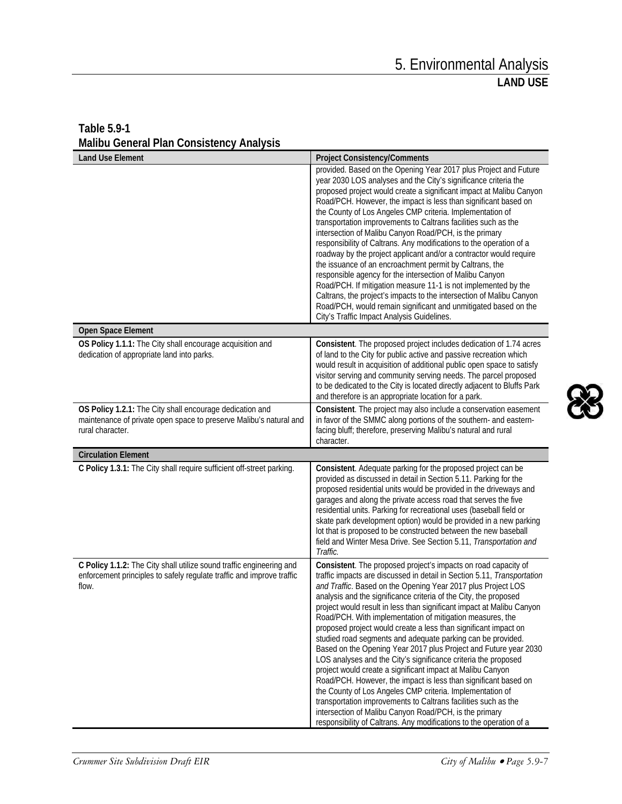| Malibu General Plan Consistency Analysis                                                                                                               |                                                                                                                                                                                                                                                                                                                                                                                                                                                                                                                                                                                                                                                                                                                                                                                                                                                                                                                                                                                                                                                                                              |
|--------------------------------------------------------------------------------------------------------------------------------------------------------|----------------------------------------------------------------------------------------------------------------------------------------------------------------------------------------------------------------------------------------------------------------------------------------------------------------------------------------------------------------------------------------------------------------------------------------------------------------------------------------------------------------------------------------------------------------------------------------------------------------------------------------------------------------------------------------------------------------------------------------------------------------------------------------------------------------------------------------------------------------------------------------------------------------------------------------------------------------------------------------------------------------------------------------------------------------------------------------------|
| <b>Land Use Element</b>                                                                                                                                | <b>Project Consistency/Comments</b>                                                                                                                                                                                                                                                                                                                                                                                                                                                                                                                                                                                                                                                                                                                                                                                                                                                                                                                                                                                                                                                          |
|                                                                                                                                                        | provided. Based on the Opening Year 2017 plus Project and Future<br>year 2030 LOS analyses and the City's significance criteria the<br>proposed project would create a significant impact at Malibu Canyon<br>Road/PCH. However, the impact is less than significant based on<br>the County of Los Angeles CMP criteria. Implementation of<br>transportation improvements to Caltrans facilities such as the<br>intersection of Malibu Canyon Road/PCH, is the primary<br>responsibility of Caltrans. Any modifications to the operation of a<br>roadway by the project applicant and/or a contractor would require<br>the issuance of an encroachment permit by Caltrans, the<br>responsible agency for the intersection of Malibu Canyon<br>Road/PCH. If mitigation measure 11-1 is not implemented by the<br>Caltrans, the project's impacts to the intersection of Malibu Canyon<br>Road/PCH, would remain significant and unmitigated based on the<br>City's Traffic Impact Analysis Guidelines.                                                                                        |
| Open Space Element                                                                                                                                     |                                                                                                                                                                                                                                                                                                                                                                                                                                                                                                                                                                                                                                                                                                                                                                                                                                                                                                                                                                                                                                                                                              |
| OS Policy 1.1.1: The City shall encourage acquisition and<br>dedication of appropriate land into parks.                                                | Consistent. The proposed project includes dedication of 1.74 acres<br>of land to the City for public active and passive recreation which<br>would result in acquisition of additional public open space to satisfy<br>visitor serving and community serving needs. The parcel proposed<br>to be dedicated to the City is located directly adjacent to Bluffs Park<br>and therefore is an appropriate location for a park.                                                                                                                                                                                                                                                                                                                                                                                                                                                                                                                                                                                                                                                                    |
| OS Policy 1.2.1: The City shall encourage dedication and<br>maintenance of private open space to preserve Malibu's natural and<br>rural character.     | Consistent. The project may also include a conservation easement<br>in favor of the SMMC along portions of the southern- and eastern-<br>facing bluff; therefore, preserving Malibu's natural and rural<br>character.                                                                                                                                                                                                                                                                                                                                                                                                                                                                                                                                                                                                                                                                                                                                                                                                                                                                        |
| <b>Circulation Element</b>                                                                                                                             |                                                                                                                                                                                                                                                                                                                                                                                                                                                                                                                                                                                                                                                                                                                                                                                                                                                                                                                                                                                                                                                                                              |
| C Policy 1.3.1: The City shall require sufficient off-street parking.                                                                                  | Consistent. Adequate parking for the proposed project can be<br>provided as discussed in detail in Section 5.11. Parking for the<br>proposed residential units would be provided in the driveways and<br>garages and along the private access road that serves the five<br>residential units. Parking for recreational uses (baseball field or<br>skate park development option) would be provided in a new parking<br>lot that is proposed to be constructed between the new baseball<br>field and Winter Mesa Drive. See Section 5.11, Transportation and<br>Traffic.                                                                                                                                                                                                                                                                                                                                                                                                                                                                                                                      |
| C Policy 1.1.2: The City shall utilize sound traffic engineering and<br>enforcement principles to safely regulate traffic and improve traffic<br>flow. | Consistent. The proposed project's impacts on road capacity of<br>traffic impacts are discussed in detail in Section 5.11, Transportation<br>and Traffic. Based on the Opening Year 2017 plus Project LOS<br>analysis and the significance criteria of the City, the proposed<br>project would result in less than significant impact at Malibu Canyon<br>Road/PCH. With implementation of mitigation measures, the<br>proposed project would create a less than significant impact on<br>studied road segments and adequate parking can be provided.<br>Based on the Opening Year 2017 plus Project and Future year 2030<br>LOS analyses and the City's significance criteria the proposed<br>project would create a significant impact at Malibu Canyon<br>Road/PCH. However, the impact is less than significant based on<br>the County of Los Angeles CMP criteria. Implementation of<br>transportation improvements to Caltrans facilities such as the<br>intersection of Malibu Canyon Road/PCH, is the primary<br>responsibility of Caltrans. Any modifications to the operation of a |

## **Table 5.9-1 Malibu General Plan Consistency Analysis**

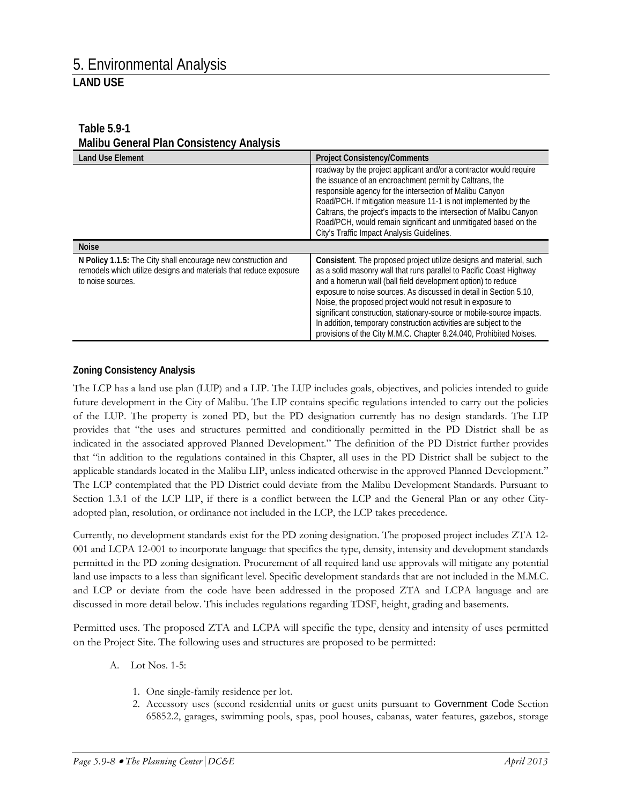| <b>Land Use Element</b>                                                                                                                                 | <b>Project Consistency/Comments</b>                                                                                                                                                                                                                                                                                                                                                                                                                                                                                                                                 |  |
|---------------------------------------------------------------------------------------------------------------------------------------------------------|---------------------------------------------------------------------------------------------------------------------------------------------------------------------------------------------------------------------------------------------------------------------------------------------------------------------------------------------------------------------------------------------------------------------------------------------------------------------------------------------------------------------------------------------------------------------|--|
|                                                                                                                                                         | roadway by the project applicant and/or a contractor would require<br>the issuance of an encroachment permit by Caltrans, the<br>responsible agency for the intersection of Malibu Canyon<br>Road/PCH. If mitigation measure 11-1 is not implemented by the<br>Caltrans, the project's impacts to the intersection of Malibu Canyon<br>Road/PCH, would remain significant and unmitigated based on the<br>City's Traffic Impact Analysis Guidelines.                                                                                                                |  |
| <b>Noise</b>                                                                                                                                            |                                                                                                                                                                                                                                                                                                                                                                                                                                                                                                                                                                     |  |
| N Policy 1.1.5: The City shall encourage new construction and<br>remodels which utilize designs and materials that reduce exposure<br>to noise sources. | Consistent. The proposed project utilize designs and material, such<br>as a solid masonry wall that runs parallel to Pacific Coast Highway<br>and a homerun wall (ball field development option) to reduce<br>exposure to noise sources. As discussed in detail in Section 5.10,<br>Noise, the proposed project would not result in exposure to<br>significant construction, stationary-source or mobile-source impacts.<br>In addition, temporary construction activities are subject to the<br>provisions of the City M.M.C. Chapter 8.24.040, Prohibited Noises. |  |

### **Table 5.9-1 Malibu General Plan Consistency Analysis**

#### **Zoning Consistency Analysis**

The LCP has a land use plan (LUP) and a LIP. The LUP includes goals, objectives, and policies intended to guide future development in the City of Malibu. The LIP contains specific regulations intended to carry out the policies of the LUP. The property is zoned PD, but the PD designation currently has no design standards. The LIP provides that "the uses and structures permitted and conditionally permitted in the PD District shall be as indicated in the associated approved Planned Development." The definition of the PD District further provides that "in addition to the regulations contained in this Chapter, all uses in the PD District shall be subject to the applicable standards located in the Malibu LIP, unless indicated otherwise in the approved Planned Development." The LCP contemplated that the PD District could deviate from the Malibu Development Standards. Pursuant to Section 1.3.1 of the LCP LIP, if there is a conflict between the LCP and the General Plan or any other Cityadopted plan, resolution, or ordinance not included in the LCP, the LCP takes precedence.

Currently, no development standards exist for the PD zoning designation. The proposed project includes ZTA 12- 001 and LCPA 12-001 to incorporate language that specifics the type, density, intensity and development standards permitted in the PD zoning designation. Procurement of all required land use approvals will mitigate any potential land use impacts to a less than significant level. Specific development standards that are not included in the M.M.C. and LCP or deviate from the code have been addressed in the proposed ZTA and LCPA language and are discussed in more detail below. This includes regulations regarding TDSF, height, grading and basements.

Permitted uses. The proposed ZTA and LCPA will specific the type, density and intensity of uses permitted on the Project Site. The following uses and structures are proposed to be permitted:

- A. Lot Nos. 1-5:
	- 1. One single-family residence per lot.
	- 2. Accessory uses (second residential units or guest units pursuant to [Government Code](http://qcode.us/codes/othercode.php?state=ca&code=gov) Section 65852.2, garages, swimming pools, spas, pool houses, cabanas, water features, gazebos, storage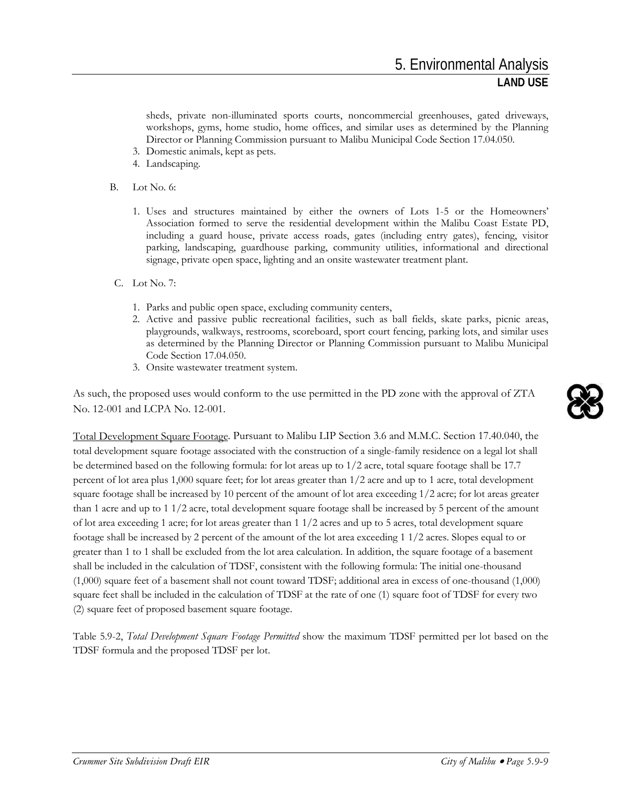sheds, private non-illuminated sports courts, noncommercial greenhouses, gated driveways, workshops, gyms, home studio, home offices, and similar uses as determined by the Planning Director or Planning Commission pursuant to Malibu Municipal Code Section 17.04.050.

- 3. Domestic animals, kept as pets.
- 4. Landscaping.
- B. Lot No. 6:
	- 1. Uses and structures maintained by either the owners of Lots 1-5 or the Homeowners' Association formed to serve the residential development within the Malibu Coast Estate PD, including a guard house, private access roads, gates (including entry gates), fencing, visitor parking, landscaping, guardhouse parking, community utilities, informational and directional signage, private open space, lighting and an onsite wastewater treatment plant.
- C. Lot No. 7:
	- 1. Parks and public open space, excluding community centers,
	- 2. Active and passive public recreational facilities, such as ball fields, skate parks, picnic areas, playgrounds, walkways, restrooms, scoreboard, sport court fencing, parking lots, and similar uses as determined by the Planning Director or Planning Commission pursuant to Malibu Municipal Code Section 17.04.050.
	- 3. Onsite wastewater treatment system.

As such, the proposed uses would conform to the use permitted in the PD zone with the approval of ZTA No. 12-001 and LCPA No. 12-001.

Total Development Square Footage. Pursuant to Malibu LIP Section 3.6 and M.M.C. Section 17.40.040, the total development square footage associated with the construction of a single-family residence on a legal lot shall be determined based on the following formula: for lot areas up to 1/2 acre, total square footage shall be 17.7 percent of lot area plus 1,000 square feet; for lot areas greater than 1/2 acre and up to 1 acre, total development square footage shall be increased by 10 percent of the amount of lot area exceeding 1/2 acre; for lot areas greater than 1 acre and up to 1 1/2 acre, total development square footage shall be increased by 5 percent of the amount of lot area exceeding 1 acre; for lot areas greater than 1 1/2 acres and up to 5 acres, total development square footage shall be increased by 2 percent of the amount of the lot area exceeding 1 1/2 acres. Slopes equal to or greater than 1 to 1 shall be excluded from the lot area calculation. In addition, the square footage of a basement shall be included in the calculation of TDSF, consistent with the following formula: The initial one-thousand (1,000) square feet of a basement shall not count toward TDSF; additional area in excess of one-thousand (1,000) square feet shall be included in the calculation of TDSF at the rate of one (1) square foot of TDSF for every two (2) square feet of proposed basement square footage.

Table 5.9-2, *Total Development Square Footage Permitted* show the maximum TDSF permitted per lot based on the TDSF formula and the proposed TDSF per lot.

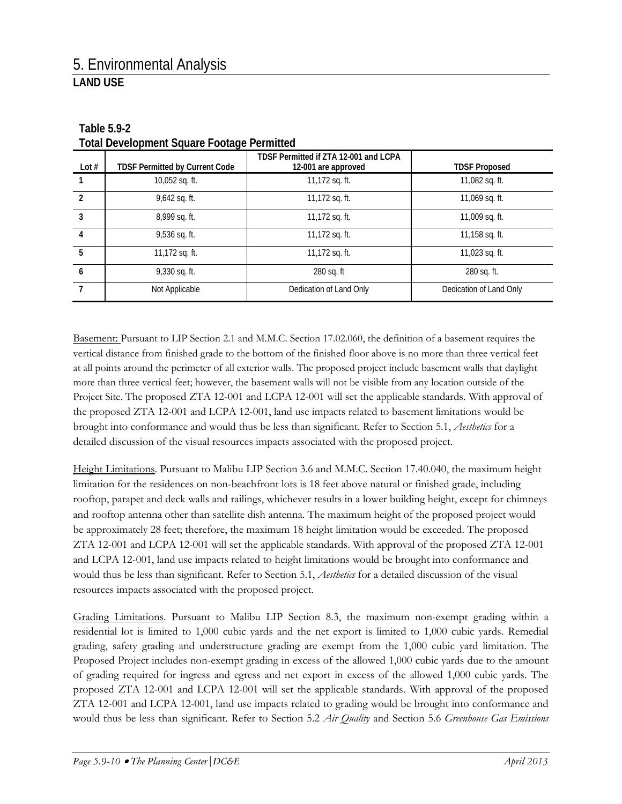| Lot $#$        | <b>TDSF Permitted by Current Code</b> | TDSF Permitted if ZTA 12-001 and LCPA<br>12-001 are approved | <b>TDSF Proposed</b>    |
|----------------|---------------------------------------|--------------------------------------------------------------|-------------------------|
|                | 10,052 sq. ft.                        | 11,172 sq. ft.                                               | 11,082 sq. ft.          |
| $\mathfrak{p}$ | 9,642 sq. ft.                         | 11,172 sq. ft.                                               | 11,069 sq. ft.          |
| 3              | 8,999 sq. ft.                         | 11,172 sq. ft.                                               | 11,009 sq. ft.          |
| 4              | 9,536 sq. ft.                         | 11,172 sq. ft.                                               | 11,158 sq. ft.          |
| 5              | 11,172 sq. ft.                        | 11,172 sq. ft.                                               | 11,023 sq. ft.          |
| 6              | $9,330$ sq. ft.                       | 280 sq. ft                                                   | 280 sq. ft.             |
| 7              | Not Applicable                        | Dedication of Land Only                                      | Dedication of Land Only |

**Table 5.9-2 Total Development Square Footage Permitted**

Basement: Pursuant to LIP Section 2.1 and M.M.C. Section 17.02.060, the definition of a basement requires the vertical distance from finished grade to the bottom of the finished floor above is no more than three vertical feet at all points around the perimeter of all exterior walls. The proposed project include basement walls that daylight more than three vertical feet; however, the basement walls will not be visible from any location outside of the Project Site. The proposed ZTA 12-001 and LCPA 12-001 will set the applicable standards. With approval of the proposed ZTA 12-001 and LCPA 12-001, land use impacts related to basement limitations would be brought into conformance and would thus be less than significant. Refer to Section 5.1, *Aesthetics* for a detailed discussion of the visual resources impacts associated with the proposed project.

Height Limitations. Pursuant to Malibu LIP Section 3.6 and M.M.C. Section 17.40.040, the maximum height limitation for the residences on non-beachfront lots is 18 feet above natural or finished grade, including rooftop, parapet and deck walls and railings, whichever results in a lower building height, except for chimneys and rooftop antenna other than satellite dish antenna. The maximum height of the proposed project would be approximately 28 feet; therefore, the maximum 18 height limitation would be exceeded. The proposed ZTA 12-001 and LCPA 12-001 will set the applicable standards. With approval of the proposed ZTA 12-001 and LCPA 12-001, land use impacts related to height limitations would be brought into conformance and would thus be less than significant. Refer to Section 5.1, *Aesthetics* for a detailed discussion of the visual resources impacts associated with the proposed project.

Grading Limitations. Pursuant to Malibu LIP Section 8.3, the maximum non-exempt grading within a residential lot is limited to 1,000 cubic yards and the net export is limited to 1,000 cubic yards. Remedial grading, safety grading and understructure grading are exempt from the 1,000 cubic yard limitation. The Proposed Project includes non-exempt grading in excess of the allowed 1,000 cubic yards due to the amount of grading required for ingress and egress and net export in excess of the allowed 1,000 cubic yards. The proposed ZTA 12-001 and LCPA 12-001 will set the applicable standards. With approval of the proposed ZTA 12-001 and LCPA 12-001, land use impacts related to grading would be brought into conformance and would thus be less than significant. Refer to Section 5.2 *Air Quality* and Section 5.6 *Greenhouse Gas Emissions*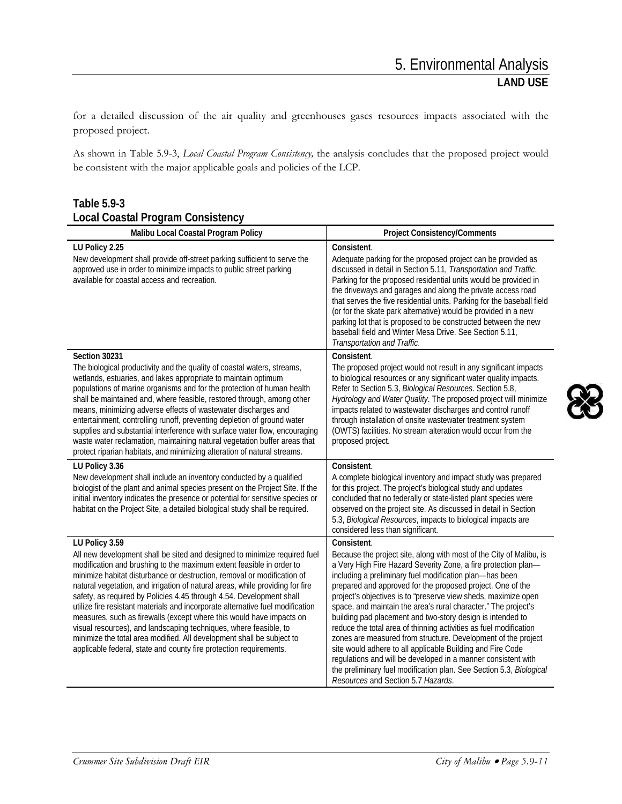for a detailed discussion of the air quality and greenhouses gases resources impacts associated with the proposed project.

As shown in Table 5.9-3, *Local Coastal Program Consistency,* the analysis concludes that the proposed project would be consistent with the major applicable goals and policies of the LCP.

| Malibu Local Coastal Program Policy                                                                                                                                                                                                                                                                                                                                                                                                                                                                                                                                                                                                                                                                                                                                                   | <b>Project Consistency/Comments</b>                                                                                                                                                                                                                                                                                                                                                                                                                                                                                                                                                                                                                                                                                                                                                                                                                               |
|---------------------------------------------------------------------------------------------------------------------------------------------------------------------------------------------------------------------------------------------------------------------------------------------------------------------------------------------------------------------------------------------------------------------------------------------------------------------------------------------------------------------------------------------------------------------------------------------------------------------------------------------------------------------------------------------------------------------------------------------------------------------------------------|-------------------------------------------------------------------------------------------------------------------------------------------------------------------------------------------------------------------------------------------------------------------------------------------------------------------------------------------------------------------------------------------------------------------------------------------------------------------------------------------------------------------------------------------------------------------------------------------------------------------------------------------------------------------------------------------------------------------------------------------------------------------------------------------------------------------------------------------------------------------|
| LU Policy 2.25<br>New development shall provide off-street parking sufficient to serve the<br>approved use in order to minimize impacts to public street parking<br>available for coastal access and recreation.                                                                                                                                                                                                                                                                                                                                                                                                                                                                                                                                                                      | Consistent.<br>Adequate parking for the proposed project can be provided as<br>discussed in detail in Section 5.11, Transportation and Traffic.<br>Parking for the proposed residential units would be provided in<br>the driveways and garages and along the private access road<br>that serves the five residential units. Parking for the baseball field<br>(or for the skate park alternative) would be provided in a new<br>parking lot that is proposed to be constructed between the new<br>baseball field and Winter Mesa Drive. See Section 5.11,<br>Transportation and Traffic.                                                                                                                                                                                                                                                                         |
| Section 30231<br>The biological productivity and the quality of coastal waters, streams,<br>wetlands, estuaries, and lakes appropriate to maintain optimum<br>populations of marine organisms and for the protection of human health<br>shall be maintained and, where feasible, restored through, among other<br>means, minimizing adverse effects of wastewater discharges and<br>entertainment, controlling runoff, preventing depletion of ground water<br>supplies and substantial interference with surface water flow, encouraging<br>waste water reclamation, maintaining natural vegetation buffer areas that<br>protect riparian habitats, and minimizing alteration of natural streams.                                                                                    | Consistent.<br>The proposed project would not result in any significant impacts<br>to biological resources or any significant water quality impacts.<br>Refer to Section 5.3, Biological Resources. Section 5.8,<br>Hydrology and Water Quality. The proposed project will minimize<br>impacts related to wastewater discharges and control runoff<br>through installation of onsite wastewater treatment system<br>(OWTS) facilities. No stream alteration would occur from the<br>proposed project.                                                                                                                                                                                                                                                                                                                                                             |
| LU Policy 3.36<br>New development shall include an inventory conducted by a qualified<br>biologist of the plant and animal species present on the Project Site. If the<br>initial inventory indicates the presence or potential for sensitive species or<br>habitat on the Project Site, a detailed biological study shall be required.                                                                                                                                                                                                                                                                                                                                                                                                                                               | Consistent.<br>A complete biological inventory and impact study was prepared<br>for this project. The project's biological study and updates<br>concluded that no federally or state-listed plant species were<br>observed on the project site. As discussed in detail in Section<br>5.3, Biological Resources, impacts to biological impacts are<br>considered less than significant.                                                                                                                                                                                                                                                                                                                                                                                                                                                                            |
| LU Policy 3.59<br>All new development shall be sited and designed to minimize required fuel<br>modification and brushing to the maximum extent feasible in order to<br>minimize habitat disturbance or destruction, removal or modification of<br>natural vegetation, and irrigation of natural areas, while providing for fire<br>safety, as required by Policies 4.45 through 4.54. Development shall<br>utilize fire resistant materials and incorporate alternative fuel modification<br>measures, such as firewalls (except where this would have impacts on<br>visual resources), and landscaping techniques, where feasible, to<br>minimize the total area modified. All development shall be subject to<br>applicable federal, state and county fire protection requirements. | Consistent.<br>Because the project site, along with most of the City of Malibu, is<br>a Very High Fire Hazard Severity Zone, a fire protection plan-<br>including a preliminary fuel modification plan-has been<br>prepared and approved for the proposed project. One of the<br>project's objectives is to "preserve view sheds, maximize open<br>space, and maintain the area's rural character." The project's<br>building pad placement and two-story design is intended to<br>reduce the total area of thinning activities as fuel modification<br>zones are measured from structure. Development of the project<br>site would adhere to all applicable Building and Fire Code<br>regulations and will be developed in a manner consistent with<br>the preliminary fuel modification plan. See Section 5.3, Biological<br>Resources and Section 5.7 Hazards. |

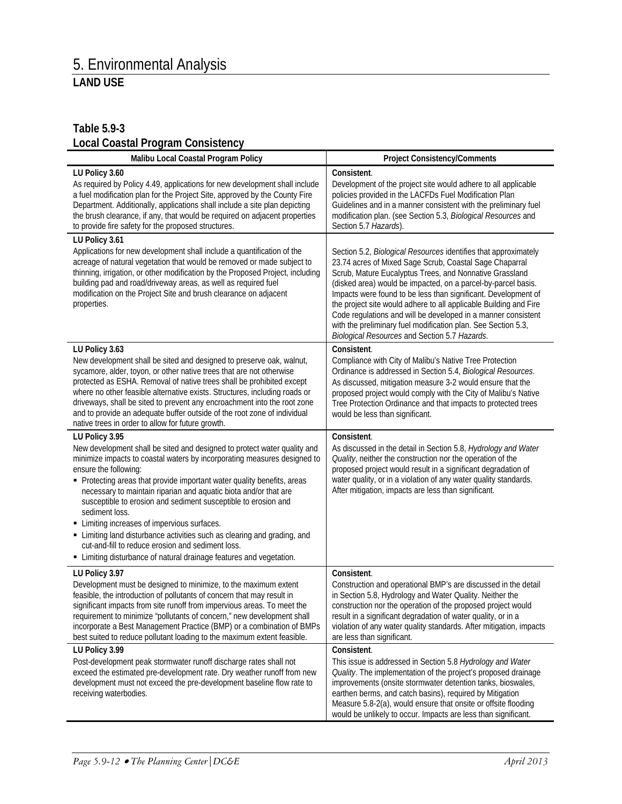| Malibu Local Coastal Program Policy                                                                                                                                                                                                                                                                                                                                                                                                                                                                                                                                                                                                                                                        | <b>Project Consistency/Comments</b>                                                                                                                                                                                                                                                                                                                                                                                                                                                                                                                                              |
|--------------------------------------------------------------------------------------------------------------------------------------------------------------------------------------------------------------------------------------------------------------------------------------------------------------------------------------------------------------------------------------------------------------------------------------------------------------------------------------------------------------------------------------------------------------------------------------------------------------------------------------------------------------------------------------------|----------------------------------------------------------------------------------------------------------------------------------------------------------------------------------------------------------------------------------------------------------------------------------------------------------------------------------------------------------------------------------------------------------------------------------------------------------------------------------------------------------------------------------------------------------------------------------|
| LU Policy 3.60<br>As required by Policy 4.49, applications for new development shall include<br>a fuel modification plan for the Project Site, approved by the County Fire<br>Department. Additionally, applications shall include a site plan depicting<br>the brush clearance, if any, that would be required on adjacent properties<br>to provide fire safety for the proposed structures.                                                                                                                                                                                                                                                                                              | Consistent.<br>Development of the project site would adhere to all applicable<br>policies provided in the LACFDs Fuel Modification Plan<br>Guidelines and in a manner consistent with the preliminary fuel<br>modification plan. (see Section 5.3, Biological Resources and<br>Section 5.7 Hazards).                                                                                                                                                                                                                                                                             |
| LU Policy 3.61<br>Applications for new development shall include a quantification of the<br>acreage of natural vegetation that would be removed or made subject to<br>thinning, irrigation, or other modification by the Proposed Project, including<br>building pad and road/driveway areas, as well as required fuel<br>modification on the Project Site and brush clearance on adjacent<br>properties.                                                                                                                                                                                                                                                                                  | Section 5.2, Biological Resources identifies that approximately<br>23.74 acres of Mixed Sage Scrub, Coastal Sage Chaparral<br>Scrub, Mature Eucalyptus Trees, and Nonnative Grassland<br>(disked area) would be impacted, on a parcel-by-parcel basis.<br>Impacts were found to be less than significant. Development of<br>the project site would adhere to all applicable Building and Fire<br>Code regulations and will be developed in a manner consistent<br>with the preliminary fuel modification plan. See Section 5.3,<br>Biological Resources and Section 5.7 Hazards. |
| LU Policy 3.63<br>New development shall be sited and designed to preserve oak, walnut,<br>sycamore, alder, toyon, or other native trees that are not otherwise<br>protected as ESHA. Removal of native trees shall be prohibited except<br>where no other feasible alternative exists. Structures, including roads or<br>driveways, shall be sited to prevent any encroachment into the root zone<br>and to provide an adequate buffer outside of the root zone of individual<br>native trees in order to allow for future growth.                                                                                                                                                         | Consistent.<br>Compliance with City of Malibu's Native Tree Protection<br>Ordinance is addressed in Section 5.4, Biological Resources.<br>As discussed, mitigation measure 3-2 would ensure that the<br>proposed project would comply with the City of Malibu's Native<br>Tree Protection Ordinance and that impacts to protected trees<br>would be less than significant.                                                                                                                                                                                                       |
| LU Policy 3.95<br>New development shall be sited and designed to protect water quality and<br>minimize impacts to coastal waters by incorporating measures designed to<br>ensure the following:<br>• Protecting areas that provide important water quality benefits, areas<br>necessary to maintain riparian and aquatic biota and/or that are<br>susceptible to erosion and sediment susceptible to erosion and<br>sediment loss.<br>• Limiting increases of impervious surfaces.<br>• Limiting land disturbance activities such as clearing and grading, and<br>cut-and-fill to reduce erosion and sediment loss.<br>• Limiting disturbance of natural drainage features and vegetation. | Consistent.<br>As discussed in the detail in Section 5.8, Hydrology and Water<br>Quality, neither the construction nor the operation of the<br>proposed project would result in a significant degradation of<br>water quality, or in a violation of any water quality standards.<br>After mitigation, impacts are less than significant.                                                                                                                                                                                                                                         |
| LU Policy 3.97<br>Development must be designed to minimize, to the maximum extent<br>feasible, the introduction of pollutants of concern that may result in<br>significant impacts from site runoff from impervious areas. To meet the<br>requirement to minimize "pollutants of concern," new development shall<br>incorporate a Best Management Practice (BMP) or a combination of BMPs<br>best suited to reduce pollutant loading to the maximum extent feasible.                                                                                                                                                                                                                       | Consistent.<br>Construction and operational BMP's are discussed in the detail<br>in Section 5.8, Hydrology and Water Quality. Neither the<br>construction nor the operation of the proposed project would<br>result in a significant degradation of water quality, or in a<br>violation of any water quality standards. After mitigation, impacts<br>are less than significant.                                                                                                                                                                                                  |
| LU Policy 3.99<br>Post-development peak stormwater runoff discharge rates shall not<br>exceed the estimated pre-development rate. Dry weather runoff from new<br>development must not exceed the pre-development baseline flow rate to<br>receiving waterbodies.                                                                                                                                                                                                                                                                                                                                                                                                                           | Consistent.<br>This issue is addressed in Section 5.8 Hydrology and Water<br>Quality. The implementation of the project's proposed drainage<br>improvements (onsite stormwater detention tanks, bioswales,<br>earthen berms, and catch basins), required by Mitigation<br>Measure 5.8-2(a), would ensure that onsite or offsite flooding<br>would be unlikely to occur. Impacts are less than significant.                                                                                                                                                                       |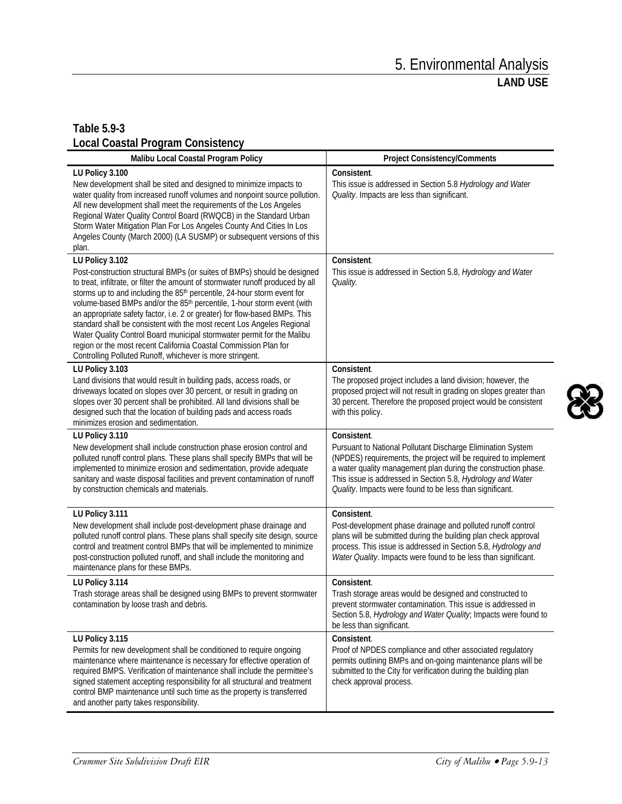| Malibu Local Coastal Program Policy                                                                                                                                                                                                                                                                                                                                                                                                                                                                                                                                                                                                                                                                                            | <b>Project Consistency/Comments</b>                                                                                                                                                                                                                                                                                                        |
|--------------------------------------------------------------------------------------------------------------------------------------------------------------------------------------------------------------------------------------------------------------------------------------------------------------------------------------------------------------------------------------------------------------------------------------------------------------------------------------------------------------------------------------------------------------------------------------------------------------------------------------------------------------------------------------------------------------------------------|--------------------------------------------------------------------------------------------------------------------------------------------------------------------------------------------------------------------------------------------------------------------------------------------------------------------------------------------|
| LU Policy 3.100<br>New development shall be sited and designed to minimize impacts to<br>water quality from increased runoff volumes and nonpoint source pollution.<br>All new development shall meet the requirements of the Los Angeles<br>Regional Water Quality Control Board (RWQCB) in the Standard Urban<br>Storm Water Mitigation Plan For Los Angeles County And Cities In Los<br>Angeles County (March 2000) (LA SUSMP) or subsequent versions of this<br>plan.                                                                                                                                                                                                                                                      | Consistent.<br>This issue is addressed in Section 5.8 Hydrology and Water<br>Quality. Impacts are less than significant.                                                                                                                                                                                                                   |
| LU Policy 3.102<br>Post-construction structural BMPs (or suites of BMPs) should be designed<br>to treat, infiltrate, or filter the amount of stormwater runoff produced by all<br>storms up to and including the 85 <sup>th</sup> percentile, 24-hour storm event for<br>volume-based BMPs and/or the 85 <sup>th</sup> percentile, 1-hour storm event (with<br>an appropriate safety factor, i.e. 2 or greater) for flow-based BMPs. This<br>standard shall be consistent with the most recent Los Angeles Regional<br>Water Quality Control Board municipal stormwater permit for the Malibu<br>region or the most recent California Coastal Commission Plan for<br>Controlling Polluted Runoff, whichever is more stringent. | Consistent.<br>This issue is addressed in Section 5.8, Hydrology and Water<br>Quality.                                                                                                                                                                                                                                                     |
| LU Policy 3.103<br>Land divisions that would result in building pads, access roads, or<br>driveways located on slopes over 30 percent, or result in grading on<br>slopes over 30 percent shall be prohibited. All land divisions shall be<br>designed such that the location of building pads and access roads<br>minimizes erosion and sedimentation.                                                                                                                                                                                                                                                                                                                                                                         | Consistent.<br>The proposed project includes a land division; however, the<br>proposed project will not result in grading on slopes greater than<br>30 percent. Therefore the proposed project would be consistent<br>with this policy.                                                                                                    |
| LU Policy 3.110<br>New development shall include construction phase erosion control and<br>polluted runoff control plans. These plans shall specify BMPs that will be<br>implemented to minimize erosion and sedimentation, provide adequate<br>sanitary and waste disposal facilities and prevent contamination of runoff<br>by construction chemicals and materials.                                                                                                                                                                                                                                                                                                                                                         | Consistent.<br>Pursuant to National Pollutant Discharge Elimination System<br>(NPDES) requirements, the project will be required to implement<br>a water quality management plan during the construction phase.<br>This issue is addressed in Section 5.8, Hydrology and Water<br>Quality. Impacts were found to be less than significant. |
| LU Policy 3.111<br>New development shall include post-development phase drainage and<br>polluted runoff control plans. These plans shall specify site design, source<br>control and treatment control BMPs that will be implemented to minimize<br>post-construction polluted runoff, and shall include the monitoring and<br>maintenance plans for these BMPs.                                                                                                                                                                                                                                                                                                                                                                | Consistent.<br>Post-development phase drainage and polluted runoff control<br>plans will be submitted during the building plan check approval<br>process. This issue is addressed in Section 5.8, Hydrology and<br>Water Quality. Impacts were found to be less than significant.                                                          |
| LU Policy 3.114<br>Trash storage areas shall be designed using BMPs to prevent stormwater<br>contamination by loose trash and debris.                                                                                                                                                                                                                                                                                                                                                                                                                                                                                                                                                                                          | Consistent.<br>Trash storage areas would be designed and constructed to<br>prevent stormwater contamination. This issue is addressed in<br>Section 5.8, Hydrology and Water Quality, Impacts were found to<br>be less than significant.                                                                                                    |
| LU Policy 3.115<br>Permits for new development shall be conditioned to require ongoing<br>maintenance where maintenance is necessary for effective operation of<br>required BMPS. Verification of maintenance shall include the permittee's<br>signed statement accepting responsibility for all structural and treatment<br>control BMP maintenance until such time as the property is transferred<br>and another party takes responsibility.                                                                                                                                                                                                                                                                                 | Consistent.<br>Proof of NPDES compliance and other associated regulatory<br>permits outlining BMPs and on-going maintenance plans will be<br>submitted to the City for verification during the building plan<br>check approval process.                                                                                                    |

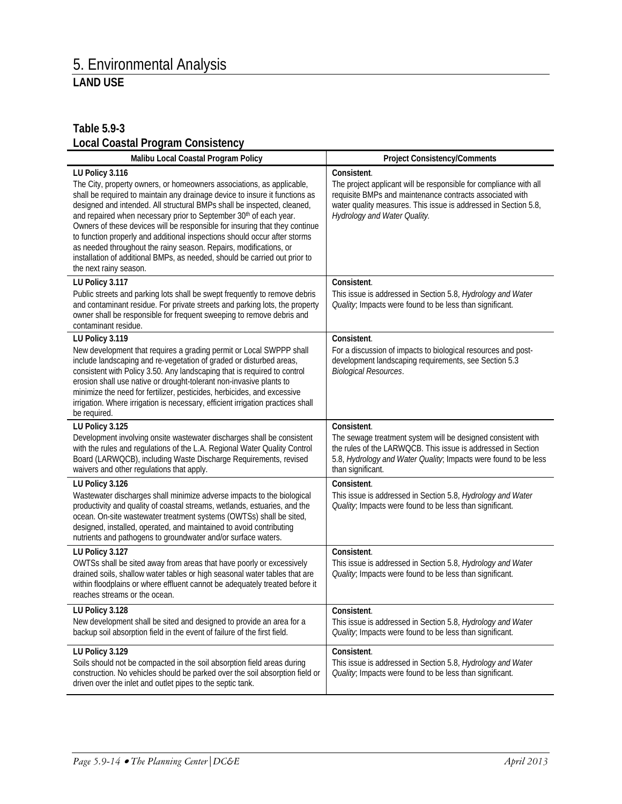| Malibu Local Coastal Program Policy                                                                                                                                                                                                                                                                                                                                                                                                                                                                                                                                                                                                                                          | <b>Project Consistency/Comments</b>                                                                                                                                                                                                             |
|------------------------------------------------------------------------------------------------------------------------------------------------------------------------------------------------------------------------------------------------------------------------------------------------------------------------------------------------------------------------------------------------------------------------------------------------------------------------------------------------------------------------------------------------------------------------------------------------------------------------------------------------------------------------------|-------------------------------------------------------------------------------------------------------------------------------------------------------------------------------------------------------------------------------------------------|
| LU Policy 3.116<br>The City, property owners, or homeowners associations, as applicable,<br>shall be required to maintain any drainage device to insure it functions as<br>designed and intended. All structural BMPs shall be inspected, cleaned,<br>and repaired when necessary prior to September 30 <sup>th</sup> of each year.<br>Owners of these devices will be responsible for insuring that they continue<br>to function properly and additional inspections should occur after storms<br>as needed throughout the rainy season. Repairs, modifications, or<br>installation of additional BMPs, as needed, should be carried out prior to<br>the next rainy season. | Consistent.<br>The project applicant will be responsible for compliance with all<br>requisite BMPs and maintenance contracts associated with<br>water quality measures. This issue is addressed in Section 5.8,<br>Hydrology and Water Quality. |
| LU Policy 3.117                                                                                                                                                                                                                                                                                                                                                                                                                                                                                                                                                                                                                                                              | Consistent.                                                                                                                                                                                                                                     |
| Public streets and parking lots shall be swept frequently to remove debris<br>and contaminant residue. For private streets and parking lots, the property<br>owner shall be responsible for frequent sweeping to remove debris and<br>contaminant residue.                                                                                                                                                                                                                                                                                                                                                                                                                   | This issue is addressed in Section 5.8, Hydrology and Water<br>Quality; Impacts were found to be less than significant.                                                                                                                         |
| LU Policy 3.119<br>New development that requires a grading permit or Local SWPPP shall<br>include landscaping and re-vegetation of graded or disturbed areas,<br>consistent with Policy 3.50. Any landscaping that is required to control<br>erosion shall use native or drought-tolerant non-invasive plants to<br>minimize the need for fertilizer, pesticides, herbicides, and excessive<br>irrigation. Where irrigation is necessary, efficient irrigation practices shall<br>be required.                                                                                                                                                                               | Consistent.<br>For a discussion of impacts to biological resources and post-<br>development landscaping requirements, see Section 5.3<br><b>Biological Resources.</b>                                                                           |
| LU Policy 3.125<br>Development involving onsite wastewater discharges shall be consistent<br>with the rules and regulations of the L.A. Regional Water Quality Control<br>Board (LARWQCB), including Waste Discharge Requirements, revised<br>waivers and other regulations that apply.                                                                                                                                                                                                                                                                                                                                                                                      | Consistent.<br>The sewage treatment system will be designed consistent with<br>the rules of the LARWQCB. This issue is addressed in Section<br>5.8, Hydrology and Water Quality; Impacts were found to be less<br>than significant.             |
| LU Policy 3.126<br>Wastewater discharges shall minimize adverse impacts to the biological<br>productivity and quality of coastal streams, wetlands, estuaries, and the<br>ocean. On-site wastewater treatment systems (OWTSs) shall be sited,<br>designed, installed, operated, and maintained to avoid contributing<br>nutrients and pathogens to groundwater and/or surface waters.                                                                                                                                                                                                                                                                                        | Consistent.<br>This issue is addressed in Section 5.8, Hydrology and Water<br>Quality; Impacts were found to be less than significant.                                                                                                          |
| LU Policy 3.127<br>OWTSs shall be sited away from areas that have poorly or excessively<br>drained soils, shallow water tables or high seasonal water tables that are<br>within floodplains or where effluent cannot be adequately treated before it<br>reaches streams or the ocean.                                                                                                                                                                                                                                                                                                                                                                                        | Consistent.<br>This issue is addressed in Section 5.8, Hydrology and Water<br>Quality; Impacts were found to be less than significant.                                                                                                          |
| LU Policy 3.128<br>New development shall be sited and designed to provide an area for a<br>backup soil absorption field in the event of failure of the first field.                                                                                                                                                                                                                                                                                                                                                                                                                                                                                                          | Consistent.<br>This issue is addressed in Section 5.8, Hydrology and Water<br>Quality; Impacts were found to be less than significant.                                                                                                          |
| LU Policy 3.129<br>Soils should not be compacted in the soil absorption field areas during<br>construction. No vehicles should be parked over the soil absorption field or<br>driven over the inlet and outlet pipes to the septic tank.                                                                                                                                                                                                                                                                                                                                                                                                                                     | Consistent.<br>This issue is addressed in Section 5.8, Hydrology and Water<br>Quality, Impacts were found to be less than significant.                                                                                                          |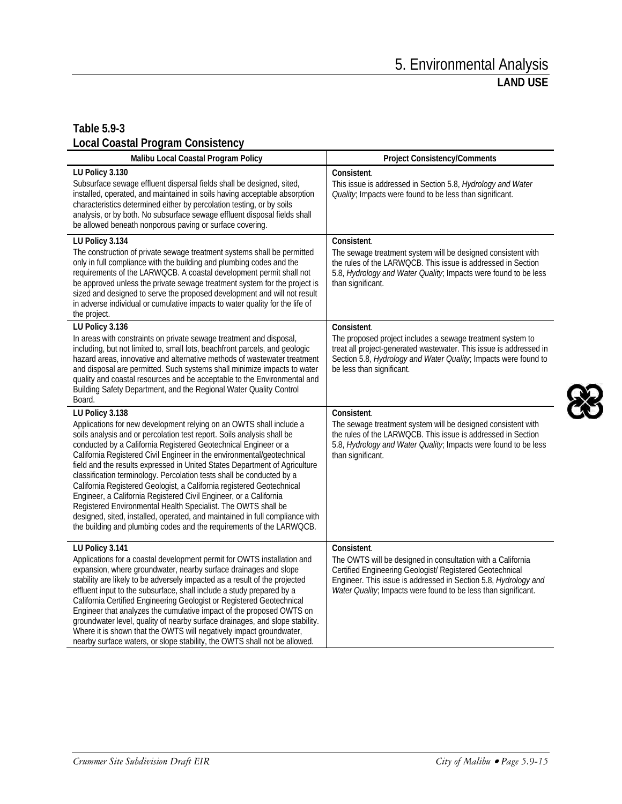| Malibu Local Coastal Program Policy                                                                                                                                                                                                                                                                                                                                                                                                                                                                                                                                                                                                                                                                                                                                                                                                         | <b>Project Consistency/Comments</b>                                                                                                                                                                                                                                         |
|---------------------------------------------------------------------------------------------------------------------------------------------------------------------------------------------------------------------------------------------------------------------------------------------------------------------------------------------------------------------------------------------------------------------------------------------------------------------------------------------------------------------------------------------------------------------------------------------------------------------------------------------------------------------------------------------------------------------------------------------------------------------------------------------------------------------------------------------|-----------------------------------------------------------------------------------------------------------------------------------------------------------------------------------------------------------------------------------------------------------------------------|
| LU Policy 3.130<br>Subsurface sewage effluent dispersal fields shall be designed, sited,<br>installed, operated, and maintained in soils having acceptable absorption<br>characteristics determined either by percolation testing, or by soils<br>analysis, or by both. No subsurface sewage effluent disposal fields shall<br>be allowed beneath nonporous paving or surface covering.                                                                                                                                                                                                                                                                                                                                                                                                                                                     | Consistent.<br>This issue is addressed in Section 5.8, Hydrology and Water<br>Quality; Impacts were found to be less than significant.                                                                                                                                      |
| LU Policy 3.134<br>The construction of private sewage treatment systems shall be permitted<br>only in full compliance with the building and plumbing codes and the<br>requirements of the LARWQCB. A coastal development permit shall not<br>be approved unless the private sewage treatment system for the project is<br>sized and designed to serve the proposed development and will not result<br>in adverse individual or cumulative impacts to water quality for the life of<br>the project.                                                                                                                                                                                                                                                                                                                                          | Consistent.<br>The sewage treatment system will be designed consistent with<br>the rules of the LARWQCB. This issue is addressed in Section<br>5.8, Hydrology and Water Quality; Impacts were found to be less<br>than significant.                                         |
| LU Policy 3.136<br>In areas with constraints on private sewage treatment and disposal,<br>including, but not limited to, small lots, beachfront parcels, and geologic<br>hazard areas, innovative and alternative methods of wastewater treatment<br>and disposal are permitted. Such systems shall minimize impacts to water<br>quality and coastal resources and be acceptable to the Environmental and<br>Building Safety Department, and the Regional Water Quality Control<br>Board.                                                                                                                                                                                                                                                                                                                                                   | Consistent.<br>The proposed project includes a sewage treatment system to<br>treat all project-generated wastewater. This issue is addressed in<br>Section 5.8, Hydrology and Water Quality, Impacts were found to<br>be less than significant.                             |
| LU Policy 3.138<br>Applications for new development relying on an OWTS shall include a<br>soils analysis and or percolation test report. Soils analysis shall be<br>conducted by a California Registered Geotechnical Engineer or a<br>California Registered Civil Engineer in the environmental/geotechnical<br>field and the results expressed in United States Department of Agriculture<br>classification terminology. Percolation tests shall be conducted by a<br>California Registered Geologist, a California registered Geotechnical<br>Engineer, a California Registered Civil Engineer, or a California<br>Registered Environmental Health Specialist. The OWTS shall be<br>designed, sited, installed, operated, and maintained in full compliance with<br>the building and plumbing codes and the requirements of the LARWQCB. | Consistent.<br>The sewage treatment system will be designed consistent with<br>the rules of the LARWOCB. This issue is addressed in Section<br>5.8, Hydrology and Water Quality; Impacts were found to be less<br>than significant.                                         |
| LU Policy 3.141<br>Applications for a coastal development permit for OWTS installation and<br>expansion, where groundwater, nearby surface drainages and slope<br>stability are likely to be adversely impacted as a result of the projected<br>effluent input to the subsurface, shall include a study prepared by a<br>California Certified Engineering Geologist or Registered Geotechnical<br>Engineer that analyzes the cumulative impact of the proposed OWTS on<br>groundwater level, quality of nearby surface drainages, and slope stability.<br>Where it is shown that the OWTS will negatively impact groundwater,<br>nearby surface waters, or slope stability, the OWTS shall not be allowed.                                                                                                                                  | Consistent.<br>The OWTS will be designed in consultation with a California<br>Certified Engineering Geologist/ Registered Geotechnical<br>Engineer. This issue is addressed in Section 5.8, Hydrology and<br>Water Quality; Impacts were found to be less than significant. |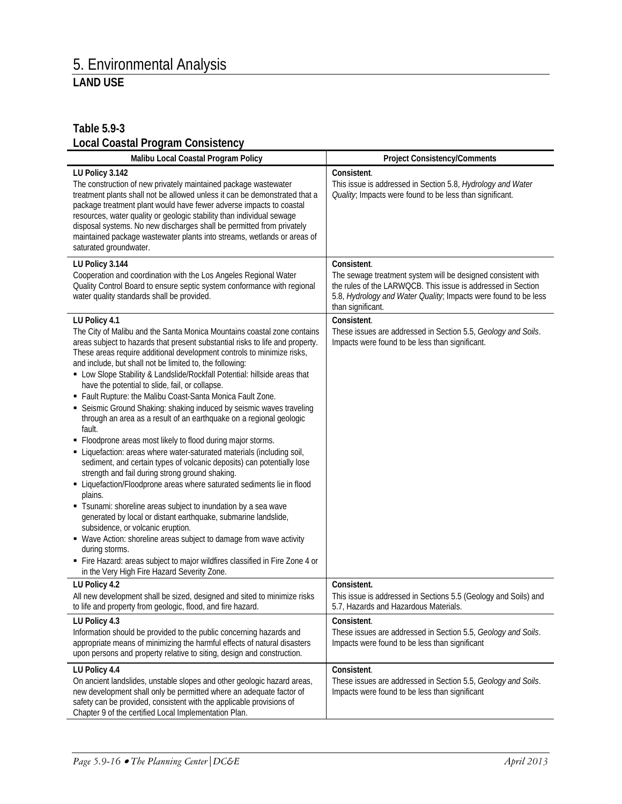| Malibu Local Coastal Program Policy                                                                                                                                                                                                                                                                                                                                                                                                                                                                                                                                                                                                                                                                                                                                                                                                                                                                                                                                                                                                                                                                                                                                                                                                                                                                                                                                                                                             | <b>Project Consistency/Comments</b>                                                                                                                                                                                                 |
|---------------------------------------------------------------------------------------------------------------------------------------------------------------------------------------------------------------------------------------------------------------------------------------------------------------------------------------------------------------------------------------------------------------------------------------------------------------------------------------------------------------------------------------------------------------------------------------------------------------------------------------------------------------------------------------------------------------------------------------------------------------------------------------------------------------------------------------------------------------------------------------------------------------------------------------------------------------------------------------------------------------------------------------------------------------------------------------------------------------------------------------------------------------------------------------------------------------------------------------------------------------------------------------------------------------------------------------------------------------------------------------------------------------------------------|-------------------------------------------------------------------------------------------------------------------------------------------------------------------------------------------------------------------------------------|
| LU Policy 3.142<br>The construction of new privately maintained package wastewater<br>treatment plants shall not be allowed unless it can be demonstrated that a<br>package treatment plant would have fewer adverse impacts to coastal<br>resources, water quality or geologic stability than individual sewage<br>disposal systems. No new discharges shall be permitted from privately<br>maintained package wastewater plants into streams, wetlands or areas of<br>saturated groundwater.                                                                                                                                                                                                                                                                                                                                                                                                                                                                                                                                                                                                                                                                                                                                                                                                                                                                                                                                  | Consistent.<br>This issue is addressed in Section 5.8, Hydrology and Water<br>Quality; Impacts were found to be less than significant.                                                                                              |
| LU Policy 3.144<br>Cooperation and coordination with the Los Angeles Regional Water<br>Quality Control Board to ensure septic system conformance with regional<br>water quality standards shall be provided.                                                                                                                                                                                                                                                                                                                                                                                                                                                                                                                                                                                                                                                                                                                                                                                                                                                                                                                                                                                                                                                                                                                                                                                                                    | Consistent.<br>The sewage treatment system will be designed consistent with<br>the rules of the LARWOCB. This issue is addressed in Section<br>5.8, Hydrology and Water Quality, Impacts were found to be less<br>than significant. |
| LU Policy 4.1<br>The City of Malibu and the Santa Monica Mountains coastal zone contains<br>areas subject to hazards that present substantial risks to life and property.<br>These areas require additional development controls to minimize risks,<br>and include, but shall not be limited to, the following:<br>• Low Slope Stability & Landslide/Rockfall Potential: hillside areas that<br>have the potential to slide, fail, or collapse.<br>Fault Rupture: the Malibu Coast-Santa Monica Fault Zone.<br>• Seismic Ground Shaking: shaking induced by seismic waves traveling<br>through an area as a result of an earthquake on a regional geologic<br>fault.<br>• Floodprone areas most likely to flood during major storms.<br>• Liquefaction: areas where water-saturated materials (including soil,<br>sediment, and certain types of volcanic deposits) can potentially lose<br>strength and fail during strong ground shaking.<br>• Liquefaction/Floodprone areas where saturated sediments lie in flood<br>plains.<br>• Tsunami: shoreline areas subject to inundation by a sea wave<br>generated by local or distant earthquake, submarine landslide,<br>subsidence, or volcanic eruption.<br>• Wave Action: shoreline areas subject to damage from wave activity<br>during storms.<br>Fire Hazard: areas subject to major wildfires classified in Fire Zone 4 or<br>in the Very High Fire Hazard Severity Zone. | Consistent.<br>These issues are addressed in Section 5.5, Geology and Soils.<br>Impacts were found to be less than significant.                                                                                                     |
| LU Policy 4.2<br>All new development shall be sized, designed and sited to minimize risks<br>to life and property from geologic, flood, and fire hazard.                                                                                                                                                                                                                                                                                                                                                                                                                                                                                                                                                                                                                                                                                                                                                                                                                                                                                                                                                                                                                                                                                                                                                                                                                                                                        | Consistent.<br>This issue is addressed in Sections 5.5 (Geology and Soils) and<br>5.7, Hazards and Hazardous Materials.                                                                                                             |
| LU Policy 4.3<br>Information should be provided to the public concerning hazards and<br>appropriate means of minimizing the harmful effects of natural disasters<br>upon persons and property relative to siting, design and construction.                                                                                                                                                                                                                                                                                                                                                                                                                                                                                                                                                                                                                                                                                                                                                                                                                                                                                                                                                                                                                                                                                                                                                                                      | Consistent.<br>These issues are addressed in Section 5.5, Geology and Soils.<br>Impacts were found to be less than significant                                                                                                      |
| LU Policy 4.4<br>On ancient landslides, unstable slopes and other geologic hazard areas,<br>new development shall only be permitted where an adequate factor of<br>safety can be provided, consistent with the applicable provisions of<br>Chapter 9 of the certified Local Implementation Plan.                                                                                                                                                                                                                                                                                                                                                                                                                                                                                                                                                                                                                                                                                                                                                                                                                                                                                                                                                                                                                                                                                                                                | Consistent.<br>These issues are addressed in Section 5.5, Geology and Soils.<br>Impacts were found to be less than significant                                                                                                      |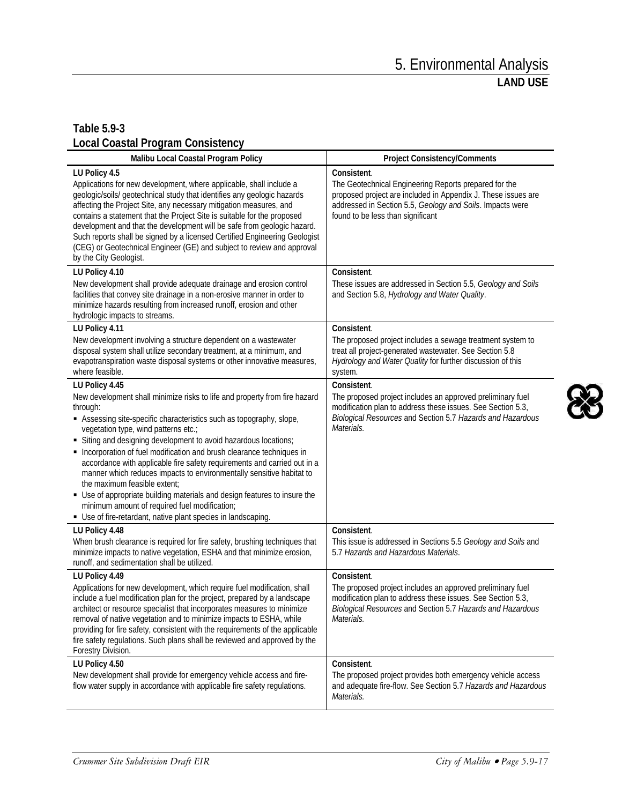| Malibu Local Coastal Program Policy                                                                                                                                                                                                                                                                                                                                                                                                                                                                                                                                                                                                                                                                                                                 | <b>Project Consistency/Comments</b>                                                                                                                                                                                                     |
|-----------------------------------------------------------------------------------------------------------------------------------------------------------------------------------------------------------------------------------------------------------------------------------------------------------------------------------------------------------------------------------------------------------------------------------------------------------------------------------------------------------------------------------------------------------------------------------------------------------------------------------------------------------------------------------------------------------------------------------------------------|-----------------------------------------------------------------------------------------------------------------------------------------------------------------------------------------------------------------------------------------|
| LU Policy 4.5<br>Applications for new development, where applicable, shall include a<br>geologic/soils/ geotechnical study that identifies any geologic hazards<br>affecting the Project Site, any necessary mitigation measures, and<br>contains a statement that the Project Site is suitable for the proposed<br>development and that the development will be safe from geologic hazard.<br>Such reports shall be signed by a licensed Certified Engineering Geologist<br>(CEG) or Geotechnical Engineer (GE) and subject to review and approval<br>by the City Geologist.                                                                                                                                                                       | Consistent.<br>The Geotechnical Engineering Reports prepared for the<br>proposed project are included in Appendix J. These issues are<br>addressed in Section 5.5, Geology and Soils. Impacts were<br>found to be less than significant |
| LU Policy 4.10<br>New development shall provide adequate drainage and erosion control<br>facilities that convey site drainage in a non-erosive manner in order to<br>minimize hazards resulting from increased runoff, erosion and other<br>hydrologic impacts to streams.                                                                                                                                                                                                                                                                                                                                                                                                                                                                          | Consistent.<br>These issues are addressed in Section 5.5, Geology and Soils<br>and Section 5.8, Hydrology and Water Quality.                                                                                                            |
| LU Policy 4.11<br>New development involving a structure dependent on a wastewater<br>disposal system shall utilize secondary treatment, at a minimum, and<br>evapotranspiration waste disposal systems or other innovative measures,<br>where feasible.                                                                                                                                                                                                                                                                                                                                                                                                                                                                                             | Consistent.<br>The proposed project includes a sewage treatment system to<br>treat all project-generated wastewater. See Section 5.8<br>Hydrology and Water Quality for further discussion of this<br>system.                           |
| LU Policy 4.45<br>New development shall minimize risks to life and property from fire hazard<br>through:<br>Assessing site-specific characteristics such as topography, slope,<br>vegetation type, wind patterns etc.;<br>Siting and designing development to avoid hazardous locations;<br>Incorporation of fuel modification and brush clearance techniques in<br>accordance with applicable fire safety requirements and carried out in a<br>manner which reduces impacts to environmentally sensitive habitat to<br>the maximum feasible extent;<br>• Use of appropriate building materials and design features to insure the<br>minimum amount of required fuel modification;<br>• Use of fire-retardant, native plant species in landscaping. | Consistent.<br>The proposed project includes an approved preliminary fuel<br>modification plan to address these issues. See Section 5.3,<br>Biological Resources and Section 5.7 Hazards and Hazardous<br>Materials.                    |
| LU Policy 4.48<br>When brush clearance is required for fire safety, brushing techniques that<br>minimize impacts to native vegetation, ESHA and that minimize erosion,<br>runoff, and sedimentation shall be utilized.                                                                                                                                                                                                                                                                                                                                                                                                                                                                                                                              | Consistent.<br>This issue is addressed in Sections 5.5 Geology and Soils and<br>5.7 Hazards and Hazardous Materials.                                                                                                                    |
| LU Policy 4.49<br>Applications for new development, which require fuel modification, shall<br>include a fuel modification plan for the project, prepared by a landscape<br>architect or resource specialist that incorporates measures to minimize<br>removal of native vegetation and to minimize impacts to ESHA, while<br>providing for fire safety, consistent with the requirements of the applicable<br>fire safety regulations. Such plans shall be reviewed and approved by the<br>Forestry Division.                                                                                                                                                                                                                                       | Consistent.<br>The proposed project includes an approved preliminary fuel<br>modification plan to address these issues. See Section 5.3,<br>Biological Resources and Section 5.7 Hazards and Hazardous<br>Materials.                    |
| LU Policy 4.50<br>New development shall provide for emergency vehicle access and fire-<br>flow water supply in accordance with applicable fire safety regulations.                                                                                                                                                                                                                                                                                                                                                                                                                                                                                                                                                                                  | Consistent.<br>The proposed project provides both emergency vehicle access<br>and adequate fire-flow. See Section 5.7 Hazards and Hazardous<br>Materials.                                                                               |

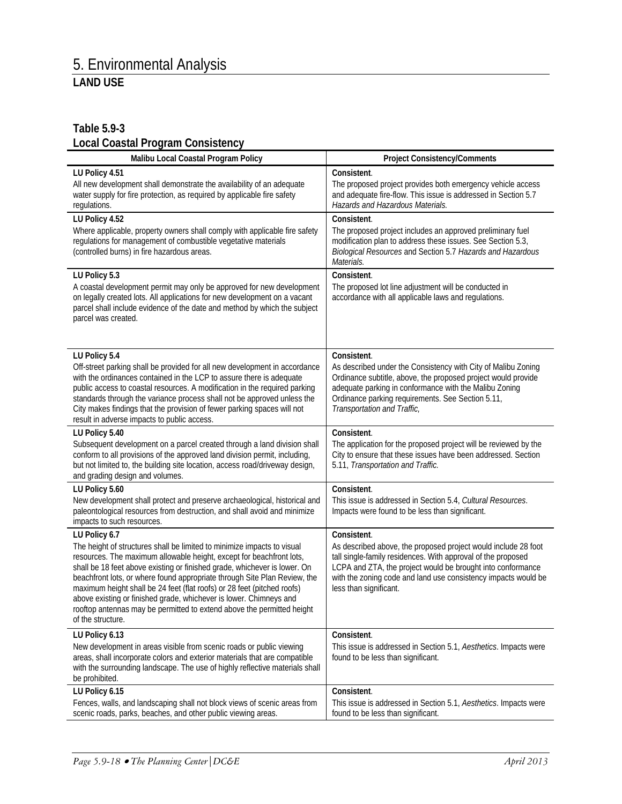# **Table 5.9-3**

**Local Coastal Program Consistency**

| Malibu Local Coastal Program Policy                                                                                                                                                                                                                                                                                                                                                                                                                                                                                                                                        | <b>Project Consistency/Comments</b>                                                                                                                                                                                                                                                                      |
|----------------------------------------------------------------------------------------------------------------------------------------------------------------------------------------------------------------------------------------------------------------------------------------------------------------------------------------------------------------------------------------------------------------------------------------------------------------------------------------------------------------------------------------------------------------------------|----------------------------------------------------------------------------------------------------------------------------------------------------------------------------------------------------------------------------------------------------------------------------------------------------------|
| LU Policy 4.51<br>All new development shall demonstrate the availability of an adequate<br>water supply for fire protection, as required by applicable fire safety<br>regulations.                                                                                                                                                                                                                                                                                                                                                                                         | Consistent.<br>The proposed project provides both emergency vehicle access<br>and adequate fire-flow. This issue is addressed in Section 5.7<br>Hazards and Hazardous Materials.                                                                                                                         |
| LU Policy 4.52<br>Where applicable, property owners shall comply with applicable fire safety<br>regulations for management of combustible vegetative materials<br>(controlled burns) in fire hazardous areas.                                                                                                                                                                                                                                                                                                                                                              | Consistent.<br>The proposed project includes an approved preliminary fuel<br>modification plan to address these issues. See Section 5.3,<br>Biological Resources and Section 5.7 Hazards and Hazardous<br>Materials.                                                                                     |
| LU Policy 5.3<br>A coastal development permit may only be approved for new development<br>on legally created lots. All applications for new development on a vacant<br>parcel shall include evidence of the date and method by which the subject<br>parcel was created.                                                                                                                                                                                                                                                                                                    | Consistent.<br>The proposed lot line adjustment will be conducted in<br>accordance with all applicable laws and regulations.                                                                                                                                                                             |
| LU Policy 5.4<br>Off-street parking shall be provided for all new development in accordance<br>with the ordinances contained in the LCP to assure there is adequate<br>public access to coastal resources. A modification in the required parking<br>standards through the variance process shall not be approved unless the<br>City makes findings that the provision of fewer parking spaces will not<br>result in adverse impacts to public access.                                                                                                                     | Consistent.<br>As described under the Consistency with City of Malibu Zoning<br>Ordinance subtitle, above, the proposed project would provide<br>adequate parking in conformance with the Malibu Zoning<br>Ordinance parking requirements. See Section 5.11,<br>Transportation and Traffic,              |
| LU Policy 5.40<br>Subsequent development on a parcel created through a land division shall<br>conform to all provisions of the approved land division permit, including,<br>but not limited to, the building site location, access road/driveway design,<br>and grading design and volumes.                                                                                                                                                                                                                                                                                | Consistent.<br>The application for the proposed project will be reviewed by the<br>City to ensure that these issues have been addressed. Section<br>5.11, Transportation and Traffic.                                                                                                                    |
| LU Policy 5.60<br>New development shall protect and preserve archaeological, historical and<br>paleontological resources from destruction, and shall avoid and minimize<br>impacts to such resources.                                                                                                                                                                                                                                                                                                                                                                      | Consistent.<br>This issue is addressed in Section 5.4, Cultural Resources.<br>Impacts were found to be less than significant.                                                                                                                                                                            |
| LU Policy 6.7<br>The height of structures shall be limited to minimize impacts to visual<br>resources. The maximum allowable height, except for beachfront lots,<br>shall be 18 feet above existing or finished grade, whichever is lower. On<br>beachfront lots, or where found appropriate through Site Plan Review, the<br>maximum height shall be 24 feet (flat roofs) or 28 feet (pitched roofs)<br>above existing or finished grade, whichever is lower. Chimneys and<br>rooftop antennas may be permitted to extend above the permitted height<br>of the structure. | Consistent.<br>As described above, the proposed project would include 28 foot<br>tall single-family residences. With approval of the proposed<br>LCPA and ZTA, the project would be brought into conformance<br>with the zoning code and land use consistency impacts would be<br>less than significant. |
| LU Policy 6.13<br>New development in areas visible from scenic roads or public viewing<br>areas, shall incorporate colors and exterior materials that are compatible<br>with the surrounding landscape. The use of highly reflective materials shall<br>be prohibited.                                                                                                                                                                                                                                                                                                     | Consistent.<br>This issue is addressed in Section 5.1, Aesthetics. Impacts were<br>found to be less than significant.                                                                                                                                                                                    |
| LU Policy 6.15<br>Fences, walls, and landscaping shall not block views of scenic areas from<br>scenic roads, parks, beaches, and other public viewing areas.                                                                                                                                                                                                                                                                                                                                                                                                               | Consistent.<br>This issue is addressed in Section 5.1, Aesthetics. Impacts were<br>found to be less than significant.                                                                                                                                                                                    |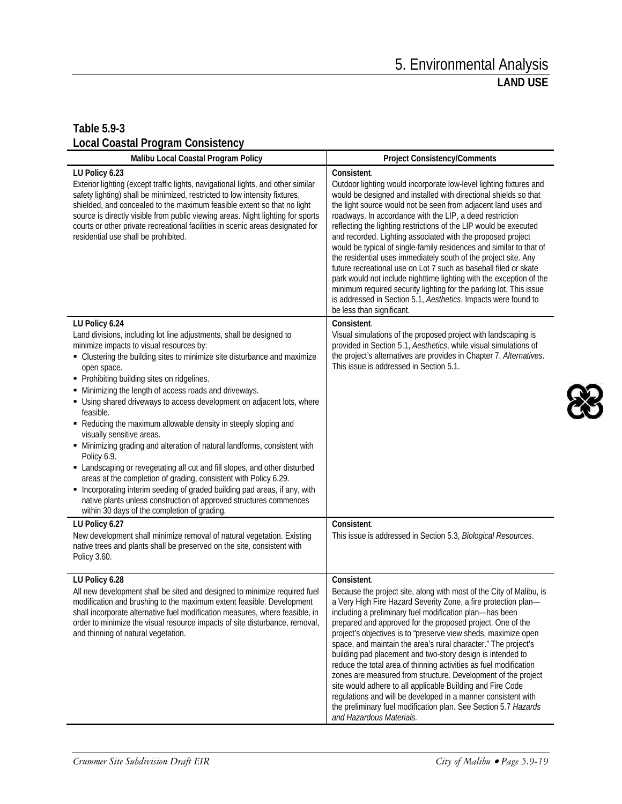l,

| Malibu Local Coastal Program Policy                                                                                                                                                                                                                                                                                                                                                                                                                                                                                                                                                                                                                                                                                                                                                                                                                                                                                                                                            | <b>Project Consistency/Comments</b>                                                                                                                                                                                                                                                                                                                                                                                                                                                                                                                                                                                                                                                                                                                                                                                                                                               |
|--------------------------------------------------------------------------------------------------------------------------------------------------------------------------------------------------------------------------------------------------------------------------------------------------------------------------------------------------------------------------------------------------------------------------------------------------------------------------------------------------------------------------------------------------------------------------------------------------------------------------------------------------------------------------------------------------------------------------------------------------------------------------------------------------------------------------------------------------------------------------------------------------------------------------------------------------------------------------------|-----------------------------------------------------------------------------------------------------------------------------------------------------------------------------------------------------------------------------------------------------------------------------------------------------------------------------------------------------------------------------------------------------------------------------------------------------------------------------------------------------------------------------------------------------------------------------------------------------------------------------------------------------------------------------------------------------------------------------------------------------------------------------------------------------------------------------------------------------------------------------------|
| LU Policy 6.23<br>Exterior lighting (except traffic lights, navigational lights, and other similar<br>safety lighting) shall be minimized, restricted to low intensity fixtures,<br>shielded, and concealed to the maximum feasible extent so that no light<br>source is directly visible from public viewing areas. Night lighting for sports<br>courts or other private recreational facilities in scenic areas designated for<br>residential use shall be prohibited.                                                                                                                                                                                                                                                                                                                                                                                                                                                                                                       | Consistent.<br>Outdoor lighting would incorporate low-level lighting fixtures and<br>would be designed and installed with directional shields so that<br>the light source would not be seen from adjacent land uses and<br>roadways. In accordance with the LIP, a deed restriction<br>reflecting the lighting restrictions of the LIP would be executed<br>and recorded. Lighting associated with the proposed project<br>would be typical of single-family residences and similar to that of<br>the residential uses immediately south of the project site. Any<br>future recreational use on Lot 7 such as baseball filed or skate<br>park would not include nighttime lighting with the exception of the<br>minimum required security lighting for the parking lot. This issue<br>is addressed in Section 5.1, Aesthetics. Impacts were found to<br>be less than significant. |
| LU Policy 6.24<br>Land divisions, including lot line adjustments, shall be designed to<br>minimize impacts to visual resources by:<br>• Clustering the building sites to minimize site disturbance and maximize<br>open space.<br>• Prohibiting building sites on ridgelines.<br>Minimizing the length of access roads and driveways.<br>• Using shared driveways to access development on adjacent lots, where<br>feasible.<br>• Reducing the maximum allowable density in steeply sloping and<br>visually sensitive areas.<br>• Minimizing grading and alteration of natural landforms, consistent with<br>Policy 6.9.<br>• Landscaping or revegetating all cut and fill slopes, and other disturbed<br>areas at the completion of grading, consistent with Policy 6.29.<br>• Incorporating interim seeding of graded building pad areas, if any, with<br>native plants unless construction of approved structures commences<br>within 30 days of the completion of grading. | Consistent.<br>Visual simulations of the proposed project with landscaping is<br>provided in Section 5.1, Aesthetics, while visual simulations of<br>the project's alternatives are provides in Chapter 7, Alternatives.<br>This issue is addressed in Section 5.1.                                                                                                                                                                                                                                                                                                                                                                                                                                                                                                                                                                                                               |
| LU Policy 6.27<br>New development shall minimize removal of natural vegetation. Existing<br>native trees and plants shall be preserved on the site, consistent with<br>Policy 3.60.                                                                                                                                                                                                                                                                                                                                                                                                                                                                                                                                                                                                                                                                                                                                                                                            | Consistent.<br>This issue is addressed in Section 5.3, Biological Resources.                                                                                                                                                                                                                                                                                                                                                                                                                                                                                                                                                                                                                                                                                                                                                                                                      |
| LU Policy 6.28<br>All new development shall be sited and designed to minimize required fuel<br>modification and brushing to the maximum extent feasible. Development<br>shall incorporate alternative fuel modification measures, where feasible, in<br>order to minimize the visual resource impacts of site disturbance, removal,<br>and thinning of natural vegetation.                                                                                                                                                                                                                                                                                                                                                                                                                                                                                                                                                                                                     | Consistent.<br>Because the project site, along with most of the City of Malibu, is<br>a Very High Fire Hazard Severity Zone, a fire protection plan-<br>including a preliminary fuel modification plan-has been<br>prepared and approved for the proposed project. One of the<br>project's objectives is to "preserve view sheds, maximize open<br>space, and maintain the area's rural character." The project's<br>building pad placement and two-story design is intended to<br>reduce the total area of thinning activities as fuel modification<br>zones are measured from structure. Development of the project<br>site would adhere to all applicable Building and Fire Code<br>regulations and will be developed in a manner consistent with<br>the preliminary fuel modification plan. See Section 5.7 Hazards<br>and Hazardous Materials.                               |